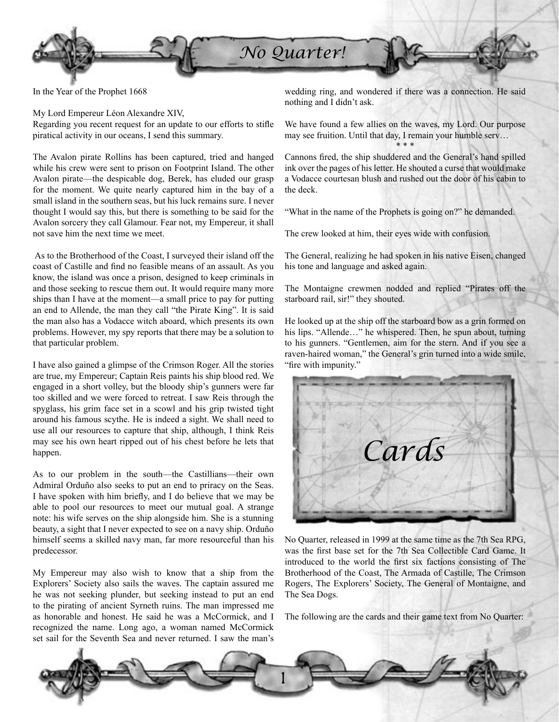

In the Year of the Prophet 1668

My Lord Empereur Léon Alexandre XIV, Regarding you recent request for an update to our efforts to stifle piratical activity in our oceans, I send this summary.

The Avalon pirate Rollins has been captured, tried and hanged while his crew were sent to prison on Footprint Island. The other Avalon pirate—the despicable dog, Berek, has eluded our grasp for the moment. We quite nearly captured him in the bay of a small island in the southern seas, but his luck remains sure. I never thought I would say this, but there is something to be said for the Avalon sorcery they call Glamour. Fear not, my Empereur, it shall not save him the next time we meet.

As to the Brotherhood of the Coast, I surveyed their island off the coast of Castille and find no feasible means of an assault. As you know, the island was once a prison, designed to keep criminals in and those seeking to rescue them out. It would require many more ships than I have at the moment—a small price to pay for putting an end to Allende, the man they call "the Pirate King". It is said the man also has a Vodacce witch aboard, which presents its own problems. However, my spy reports that there may be a solution to that particular problem.

I have also gained a glimpse of the Crimson Roger. All the stories are true, my Empereur; Captain Reis paints his ship blood red. We engaged in a short volley, but the bloody ship's gunners were far too skilled and we were forced to retreat. I saw Reis through the spyglass, his grim face set in a scowl and his grip twisted tight around his famous scythe. He is indeed a sight. We shall need to use all our resources to capture that ship, although, I think Reis may see his own heart ripped out of his chest before he lets that happen.

As to our problem in the south—the Castillians—their own Admiral Orduño also seeks to put an end to priracy on the Seas. I have spoken with him briefly, and I do believe that we may be able to pool our resources to meet our mutual goal. A strange note: his wife serves on the ship alongside him. She is a stunning beauty, a sight that I never expected to see on a navy ship. Orduño himself seems a skilled navy man, far more resourceful than his predecessor.

My Empereur may also wish to know that a ship from the Explorers' Society also sails the waves. The captain assured me he was not seeking plunder, but seeking instead to put an end to the pirating of ancient Syrneth ruins. The man impressed me as honorable and honest. He said he was a McCormick, and I recognized the name. Long ago, a woman named McCormick set sail for the Seventh Sea and never returned. I saw the man's

wedding ring, and wondered if there was a connection. He said nothing and I didn't ask.

We have found a few allies on the waves, my Lord. Our purpose may see fruition. Until that day, I remain your humble serv… \* \* \*

Cannons fired, the ship shuddered and the General's hand spilled ink over the pages of his letter. He shouted a curse that would make a Vodacce courtesan blush and rushed out the door of his cabin to the deck.

"What in the name of the Prophets is going on?" he demanded.

The crew looked at him, their eyes wide with confusion.

The General, realizing he had spoken in his native Eisen, changed his tone and language and asked again.

The Montaigne crewmen nodded and replied "Pirates off the starboard rail, sir!" they shouted.

He looked up at the ship off the starboard bow as a grin formed on his lips. "Allende…" he whispered. Then, he spun about, turning to his gunners. "Gentlemen, aim for the stern. And if you see a raven-haired woman," the General's grin turned into a wide smile, "fire with impunity."



No Quarter, released in 1999 at the same time as the 7th Sea RPG, was the first base set for the 7th Sea Collectible Card Game. It introduced to the world the first six factions consisting of The Brotherhood of the Coast, The Armada of Castille, The Crimson Rogers, The Explorers' Society, The General of Montaigne, and The Sea Dogs.

The following are the cards and their game text from No Quarter:

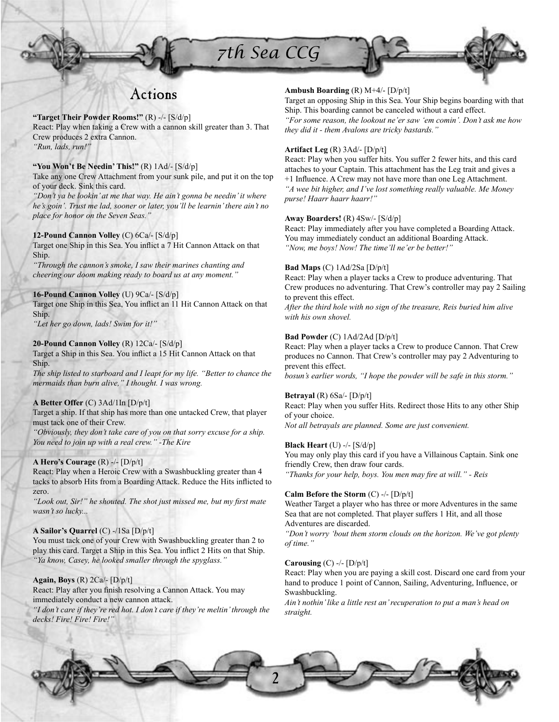# *7th Sea CCG*



# Actions

**"Target Their Powder Rooms!"** (R) -/- [S/d/p] React: Play when taking a Crew with a cannon skill greater than 3. That Crew produces 2 extra Cannon. *"Run, lads, run!"*

# **"You Won't Be Needin' This!"** (R) 1Ad/- [S/d/p]

Take any one Crew Attachment from your sunk pile, and put it on the top of your deck. Sink this card.

*"Don't ya be lookin' at me that way. He ain't gonna be needin' it where he's goin'. Trust me lad, sooner or later, you'll be learnin' there ain't no place for honor on the Seven Seas."*

# **12-Pound Cannon Volley** (C) 6Ca/- [S/d/p]

Target one Ship in this Sea. You inflict a 7 Hit Cannon Attack on that Ship.

*"Through the cannon's smoke, I saw their marines chanting and cheering our doom making ready to board us at any moment."*

# **16-Pound Cannon Volley** (U) 9Ca/- [S/d/p]

Target one Ship in this Sea, You inflict an 11 Hit Cannon Attack on that Ship.

*"Let her go down, lads! Swim for it!"*

# **20-Pound Cannon Volley** (R) 12Ca/- [S/d/p]

Target a Ship in this Sea. You inflict a 15 Hit Cannon Attack on that Ship.

*The ship listed to starboard and I leapt for my life. "Better to chance the mermaids than burn alive," I thought. I was wrong.*

# **A Better Offer** (C) 3Ad/1In [D/p/t]

Target a ship. If that ship has more than one untacked Crew, that player must tack one of their Crew.

*"Obviously, they don't take care of you on that sorry excuse for a ship. You need to join up with a real crew." -The Kire*

# **A Hero's Courage** (R) -/- [D/p/t]

React: Play when a Heroic Crew with a Swashbuckling greater than 4 tacks to absorb Hits from a Boarding Attack. Reduce the Hits inflicted to zero.

"Look out, Sir!" he shouted. The shot just missed me, but my first mate *wasn't so lucky...*

# **A Sailor's Quarrel** (C) -/1Sa [D/p/t]

You must tack one of your Crew with Swashbuckling greater than 2 to play this card. Target a Ship in this Sea. You inflict 2 Hits on that Ship. *"Ya know, Casey, he looked smaller through the spyglass."*

# **Again, Boys** (R) 2Ca/- [D/p/t]

React: Play after you finish resolving a Cannon Attack. You may immediately conduct a new cannon attack.

*"I don't care if they're red hot. I don't care if they're meltin' through the decks! Fire! Fire! Fire!"*

# **Ambush Boarding** (R) M+4/- [D/p/t]

Target an opposing Ship in this Sea. Your Ship begins boarding with that Ship. This boarding cannot be canceled without a card effect. *"For some reason, the lookout ne'er saw 'em comin'. Don't ask me how they did it - them Avalons are tricky bastards."*

# **Artifact Leg** (R) 3Ad/- [D/p/t]

React: Play when you suffer hits. You suffer 2 fewer hits, and this card attaches to your Captain. This attachment has the Leg trait and gives a +1 Influence. A Crew may not have more than one Leg Attachment. *"A wee bit higher, and I've lost something really valuable. Me Money purse! Haarr haarr haarr!"*

# **Away Boarders!** (R) 4Sw/- [S/d/p]

React: Play immediately after you have completed a Boarding Attack. You may immediately conduct an additional Boarding Attack. *"Now, me boys! Now! The time'll ne'er be better!"*

# **Bad Maps** (C) 1Ad/2Sa [D/p/t]

React: Play when a player tacks a Crew to produce adventuring. That Crew produces no adventuring. That Crew's controller may pay 2 Sailing to prevent this effect.

*After the third hole with no sign of the treasure, Reis buried him alive with his own shovel.*

# **Bad Powder** (C) 1Ad/2Ad [D/p/t]

React: Play when a player tacks a Crew to produce Cannon. That Crew produces no Cannon. That Crew's controller may pay 2 Adventuring to prevent this effect.

*bosun's earlier words, "I hope the powder will be safe in this storm."*

# **Betrayal** (R) 6Sa/- [D/p/t]

React: Play when you suffer Hits. Redirect those Hits to any other Ship of your choice.

*Not all betrayals are planned. Some are just convenient.*

# **Black Heart** (U) -/- [S/d/p]

You may only play this card if you have a Villainous Captain. Sink one friendly Crew, then draw four cards. "Thanks for your help, boys. You men may fire at will." - Reis

### **Calm Before the Storm** (C) -/- [D/p/t]

Weather Target a player who has three or more Adventures in the same Sea that are not completed. That player suffers 1 Hit, and all those Adventures are discarded.

*"Don't worry 'bout them storm clouds on the horizon. We've got plenty of time."*

### **Carousing** (C) -/- [D/p/t]

React: Play when you are paying a skill cost. Discard one card from your hand to produce 1 point of Cannon, Sailing, Adventuring, Influence, or Swashbuckling.

*Ain't nothin' like a little rest an' recuperation to put a man's head on straight.*

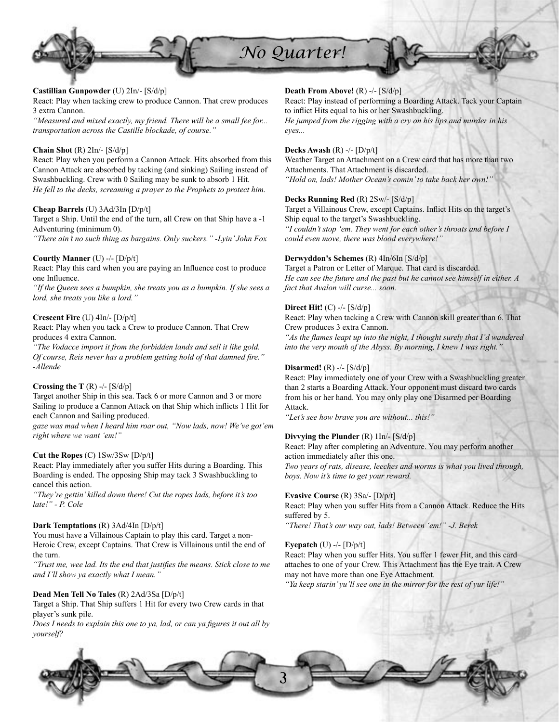

# **Castillian Gunpowder** (U) 2In/- [S/d/p]

React: Play when tacking crew to produce Cannon. That crew produces 3 extra Cannon.

*"Measured and mixed exactly, my friend. There will be a small fee for... transportation across the Castille blockade, of course."*

# **Chain Shot** (R) 2In/- [S/d/p]

React: Play when you perform a Cannon Attack. Hits absorbed from this Cannon Attack are absorbed by tacking (and sinking) Sailing instead of Swashbuckling. Crew with 0 Sailing may be sunk to absorb 1 Hit. *He fell to the decks, screaming a prayer to the Prophets to protect him.*

### **Cheap Barrels** (U) 3Ad/3In [D/p/t]

Target a Ship. Until the end of the turn, all Crew on that Ship have a -1 Adventuring (minimum 0).

*"There ain't no such thing as bargains. Only suckers." -Lyin' John Fox*

### **Courtly Manner** (U) -/- [D/p/t]

React: Play this card when you are paying an Influence cost to produce one Influence.

*"If the Queen sees a bumpkin, she treats you as a bumpkin. If she sees a lord, she treats you like a lord."*

### **Crescent Fire** (U) 4In/- [D/p/t]

React: Play when you tack a Crew to produce Cannon. That Crew produces 4 extra Cannon.

*"The Vodacce import it from the forbidden lands and sell it like gold. Of course, Reis never has a problem getting hold of that damned fire." -Allende*

### **Crossing the T** (R) -/- [S/d/p]

Target another Ship in this sea. Tack 6 or more Cannon and 3 or more Sailing to produce a Cannon Attack on that Ship which inflicts 1 Hit for each Cannon and Sailing produced.

*gaze was mad when I heard him roar out, "Now lads, now! We've got'em right where we want 'em!"*

### **Cut the Ropes** (C) 1Sw/3Sw [D/p/t]

React: Play immediately after you suffer Hits during a Boarding. This Boarding is ended. The opposing Ship may tack 3 Swashbuckling to cancel this action.

*"They're gettin' killed down there! Cut the ropes lads, before it's too late!" - P. Cole*

### **Dark Temptations** (R) 3Ad/4In [D/p/t]

You must have a Villainous Captain to play this card. Target a non-Heroic Crew, except Captains. That Crew is Villainous until the end of the turn.

*"Trust me, wee lad. Its the end that justifies the means. Stick close to me and I'll show ya exactly what I mean."*

### **Dead Men Tell No Tales** (R) 2Ad/3Sa [D/p/t]

Target a Ship. That Ship suffers 1 Hit for every two Crew cards in that player's sunk pile.

*Does I needs to explain this one to ya, lad, or can ya figures it out all by yourself?*

# **Death From Above!** (R) -/- [S/d/p]

React: Play instead of performing a Boarding Attack. Tack your Captain to inflict Hits equal to his or her Swashbuckling. *He jumped from the rigging with a cry on his lips and murder in his eyes...*

### **Decks Awash** (R) -/- [D/p/t]

Weather Target an Attachment on a Crew card that has more than two Attachments. That Attachment is discarded. *"Hold on, lads! Mother Ocean's comin' to take back her own!"*

### **Decks Running Red** (R) 2Sw/- [S/d/p]

Target a Villainous Crew, except Captains. Inflict Hits on the target's Ship equal to the target's Swashbuckling.

*"I couldn't stop 'em. They went for each other's throats and before I could even move, there was blood everywhere!"*

### **Derwyddon's Schemes** (R) 4In/6In [S/d/p]

Target a Patron or Letter of Marque. That card is discarded. *He can see the future and the past but he cannot see himself in either. A fact that Avalon will curse... soon.*

### **Direct Hit!** (C) -/- [S/d/p]

React: Play when tacking a Crew with Cannon skill greater than 6. That Crew produces 3 extra Cannon.

*"As the flames leapt up into the night, I thought surely that I'd wandered into the very mouth of the Abyss. By morning, I knew I was right."*

### **Disarmed!** (R) -/- [S/d/p]

React: Play immediately one of your Crew with a Swashbuckling greater than 2 starts a Boarding Attack. Your opponent must discard two cards from his or her hand. You may only play one Disarmed per Boarding Attack.

*"Let's see how brave you are without... this!"*

### **Divvying the Plunder** (R) 1In/- [S/d/p]

React: Play after completing an Adventure. You may perform another action immediately after this one. *Two years of rats, disease, leeches and worms is what you lived through, boys. Now it's time to get your reward.*

#### **Evasive Course** (R) 3Sa/- [D/p/t]

React: Play when you suffer Hits from a Cannon Attack. Reduce the Hits suffered by 5.

*"There! That's our way out, lads! Between 'em!" -J. Berek*

### **Eyepatch** (U) -/- [D/p/t]

React: Play when you suffer Hits. You suffer 1 fewer Hit, and this card attaches to one of your Crew. This Attachment has the Eye trait. A Crew may not have more than one Eye Attachment.

*"Ya keep starin' yu'll see one in the mirror for the rest of yur life!"*

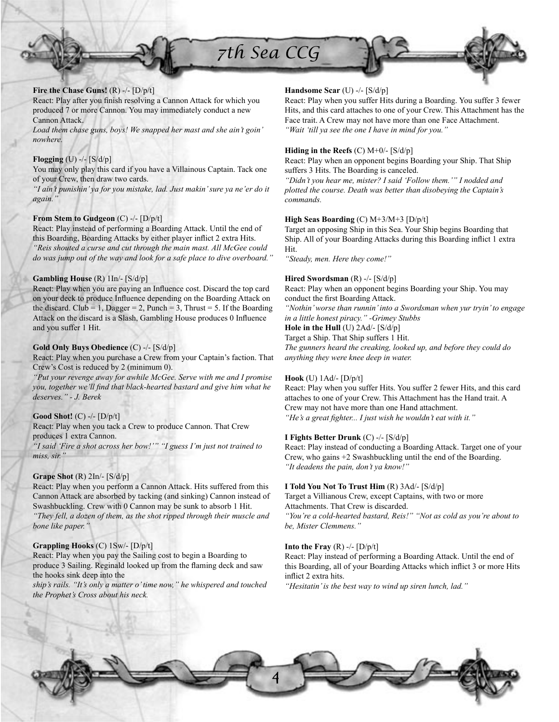

React: Play after you finish resolving a Cannon Attack for which you produced 7 or more Cannon. You may immediately conduct a new Cannon Attack.

*Load them chase guns, boys! We snapped her mast and she ain't goin' nowhere.*

### **Flogging** (U) -/- [S/d/p]

You may only play this card if you have a Villainous Captain. Tack one of your Crew, then draw two cards.

*"I ain't punishin' ya for you mistake, lad. Just makin' sure ya ne'er do it again."*

### **From Stem to Gudgeon** (C) -/- [D/p/t]

React: Play instead of performing a Boarding Attack. Until the end of this Boarding, Boarding Attacks by either player inflict 2 extra Hits. *"Reis shouted a curse and cut through the main mast. All McGee could do was jump out of the way and look for a safe place to dive overboard."*

### **Gambling House** (R) 1In/- [S/d/p]

React: Play when you are paying an Influence cost. Discard the top card on your deck to produce Influence depending on the Boarding Attack on the discard. Club = 1, Dagger = 2, Punch = 3, Thrust = 5. If the Boarding Attack on the discard is a Slash, Gambling House produces 0 Influence and you suffer 1 Hit.

### **Gold Only Buys Obedience** (C) -/- [S/d/p]

React: Play when you purchase a Crew from your Captain's faction. That Crew's Cost is reduced by 2 (minimum 0).

*"Put your revenge away for awhile McGee. Serve with me and I promise you, together we'll find that black-hearted bastard and give him what he deserves." - J. Berek*

### **Good Shot!** (C) -/- [D/p/t]

React: Play when you tack a Crew to produce Cannon. That Crew produces 1 extra Cannon.

*"I said 'Fire a shot across her bow!'" "I guess I'm just not trained to miss, sir."*

### **Grape Shot** (R) 2In/- [S/d/p]

React: Play when you perform a Cannon Attack. Hits suffered from this Cannon Attack are absorbed by tacking (and sinking) Cannon instead of Swashbuckling. Crew with 0 Cannon may be sunk to absorb 1 Hit. *"They fell, a dozen of them, as the shot ripped through their muscle and* 

*bone like paper."*

# **Grappling Hooks** (C) 1Sw/- [D/p/t]

React: Play when you pay the Sailing cost to begin a Boarding to produce 3 Sailing. Reginald looked up from the flaming deck and saw the hooks sink deep into the

*ship's rails. "It's only a matter o' time now," he whispered and touched the Prophet's Cross about his neck.*

# **Handsome Scar** (U) -/- [S/d/p]

React: Play when you suffer Hits during a Boarding. You suffer 3 fewer Hits, and this card attaches to one of your Crew. This Attachment has the Face trait. A Crew may not have more than one Face Attachment. *"Wait 'till ya see the one I have in mind for you."*

### **Hiding in the Reefs** (C) M+0/- [S/d/p]

React: Play when an opponent begins Boarding your Ship. That Ship suffers 3 Hits. The Boarding is canceled.

*"Didn't you hear me, mister? I said 'Follow them.'" I nodded and plotted the course. Death was better than disobeying the Captain's commands.*

# **High Seas Boarding** (C) M+3/M+3 [D/p/t]

Target an opposing Ship in this Sea. Your Ship begins Boarding that Ship. All of your Boarding Attacks during this Boarding inflict 1 extra Hit.

*"Steady, men. Here they come!"*

### **Hired Swordsman** (R) -/- [S/d/p]

React: Play when an opponent begins Boarding your Ship. You may conduct the first Boarding Attack.

*"Nothin' worse than runnin' into a Swordsman when yur tryin' to engage in a little honest piracy." -Grimey Stubbs*

**Hole in the Hull** (U) 2Ad/- [S/d/p] Target a Ship. That Ship suffers 1 Hit.

*The gunners heard the creaking, looked up, and before they could do anything they were knee deep in water.*

# **Hook** (U) 1Ad/- [D/p/t]

React: Play when you suffer Hits. You suffer 2 fewer Hits, and this card attaches to one of your Crew. This Attachment has the Hand trait. A Crew may not have more than one Hand attachment. "He's a great fighter... I just wish he wouldn't eat with it."

### **I Fights Better Drunk** (C) -/- [S/d/p]

React: Play instead of conducting a Boarding Attack. Target one of your Crew, who gains +2 Swashbuckling until the end of the Boarding. *"It deadens the pain, don't ya know!"*

### **I Told You Not To Trust Him** (R) 3Ad/- [S/d/p]

Target a Villianous Crew, except Captains, with two or more Attachments. That Crew is discarded.

*"You're a cold-hearted bastard, Reis!" "Not as cold as you're about to be, Mister Clemmens."*

# **Into the Fray**  $(R)$  -/-  $[D/p/t]$

React: Play instead of performing a Boarding Attack. Until the end of this Boarding, all of your Boarding Attacks which inflict 3 or more Hits inflict 2 extra hits.

*"Hesitatin' is the best way to wind up siren lunch, lad."*

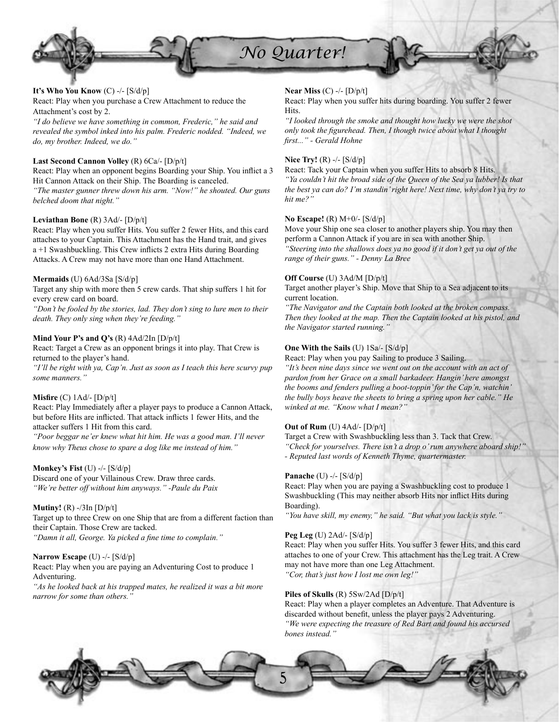

# **It's Who You Know** (C) -/- [S/d/p]

React: Play when you purchase a Crew Attachment to reduce the Attachment's cost by 2.

*"I do believe we have something in common, Frederic," he said and revealed the symbol inked into his palm. Frederic nodded. "Indeed, we do, my brother. Indeed, we do."*

# **Last Second Cannon Volley** (R) 6Ca/- [D/p/t]

React: Play when an opponent begins Boarding your Ship. You inflict a 3 Hit Cannon Attack on their Ship. The Boarding is canceled. *"The master gunner threw down his arm. "Now!" he shouted. Our guns belched doom that night."*

### **Leviathan Bone** (R) 3Ad/- [D/p/t]

React: Play when you suffer Hits. You suffer 2 fewer Hits, and this card attaches to your Captain. This Attachment has the Hand trait, and gives  $a + 1$  Swashbuckling. This Crew inflicts 2 extra Hits during Boarding Attacks. A Crew may not have more than one Hand Attachment.

### **Mermaids** (U) 6Ad/3Sa [S/d/p]

Target any ship with more then 5 crew cards. That ship suffers 1 hit for every crew card on board.

*"Don't be fooled by the stories, lad. They don't sing to lure men to their death. They only sing when they're feeding."*

### **Mind Your P's and Q's** (R) 4Ad/2In [D/p/t]

React: Target a Crew as an opponent brings it into play. That Crew is returned to the player's hand.

*"I'll be right with ya, Cap'n. Just as soon as I teach this here scurvy pup some manners."*

### **Misfire** (C) 1Ad/- [D/p/t]

React: Play Immediately after a player pays to produce a Cannon Attack, but before Hits are inflicted. That attack inflicts 1 fewer Hits, and the attacker suffers 1 Hit from this card.

*"Poor beggar ne'er knew what hit him. He was a good man. I'll never know why Theus chose to spare a dog like me instead of him."*

### **Monkey's Fist** (U) -/- [S/d/p]

Discard one of your Villainous Crew. Draw three cards. *"We're better off without him anyways." -Paule du Paix*

### **Mutiny!** (R) -/3In [D/p/t]

Target up to three Crew on one Ship that are from a different faction than their Captain. Those Crew are tacked. "Damn it all, George. Ya picked a fine time to complain."

### **Narrow Escape** (U) -/- [S/d/p]

React: Play when you are paying an Adventuring Cost to produce 1 Adventuring.

*"As he looked back at his trapped mates, he realized it was a bit more narrow for some than others."*

# **Near Miss** (C) -/- [D/p/t]

React: Play when you suffer hits during boarding. You suffer 2 fewer Hits.

*"I looked through the smoke and thought how lucky we were the shot*  only took the figurehead. Then, I though twice about what I thought *fi rst..." - Gerald Hohne*

# **Nice Try!** (R) -/- [S/d/p]

React: Tack your Captain when you suffer Hits to absorb 8 Hits. *"Ya couldn't hit the broad side of the Queen of the Sea ya lubber! Is that the best ya can do? I'm standin' right here! Next time, why don't ya try to hit me?"*

### **No Escape!** (R) M+0/- [S/d/p]

Move your Ship one sea closer to another players ship. You may then perform a Cannon Attack if you are in sea with another Ship. *"Steering into the shallows does ya no good if it don't get ya out of the range of their guns." - Denny La Bree*

#### **Off Course** (U) 3Ad/M [D/p/t]

Target another player's Ship. Move that Ship to a Sea adjacent to its current location.

*"The Navigator and the Captain both looked at the broken compass. Then they looked at the map. Then the Captain looked at his pistol, and the Navigator started running."*

### **One With the Sails** (U) 1Sa/- [S/d/p]

React: Play when you pay Sailing to produce 3 Sailing. *"It's been nine days since we went out on the account with an act of pardon from her Grace on a small barkadeer. Hangin' here amongst the booms and fenders pulling a boot-toppin' for the Cap'n, watchin' the bully boys heave the sheets to bring a spring upon her cable." He winked at me. "Know what I mean?"*

# **Out of Rum** (U) 4Ad/- [D/p/t]

Target a Crew with Swashbuckling less than 3. Tack that Crew. *"Check for yourselves. There isn't a drop o' rum anywhere aboard ship!" - Reputed last words of Kenneth Thyme, quartermaster.*

### **Panache** (U) -/- [S/d/p]

React: Play when you are paying a Swashbuckling cost to produce 1 Swashbuckling (This may neither absorb Hits nor inflict Hits during Boarding).

*"You have skill, my enemy," he said. "But what you lack is style."*

### **Peg Leg** (U) 2Ad/- [S/d/p]

React: Play when you suffer Hits. You suffer 3 fewer Hits, and this card attaches to one of your Crew. This attachment has the Leg trait. A Crew may not have more than one Leg Attachment. *"Cor, that's just how I lost me own leg!"*

### **Piles of Skulls** (R) 5Sw/2Ad [D/p/t]

React: Play when a player completes an Adventure. That Adventure is discarded without benefit, unless the player pays 2 Adventuring. *"We were expecting the treasure of Red Bart and found his accursed bones instead."*

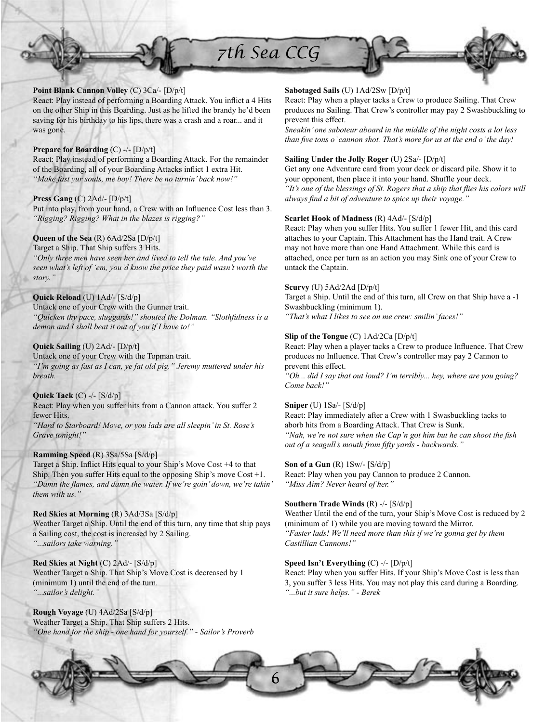

# **Point Blank Cannon Volley** (C) 3Ca/- [D/p/t]

React: Play instead of performing a Boarding Attack. You inflict a 4 Hits on the other Ship in this Boarding. Just as he lifted the brandy he'd been saving for his birthday to his lips, there was a crash and a roar... and it was gone.

# **Prepare for Boarding** (C) -/- [D/p/t]

React: Play instead of performing a Boarding Attack. For the remainder of the Boarding, all of your Boarding Attacks inflict 1 extra Hit. *"Make fast yur souls, me boy! There be no turnin' back now!"*

# **Press Gang** (C) 2Ad/- [D/p/t]

Put into play, from your hand, a Crew with an Influence Cost less than 3. *"Rigging? Rigging? What in the blazes is rigging?"*

# **Queen of the Sea** (R) 6Ad/2Sa [D/p/t]

Target a Ship. That Ship suffers 3 Hits. *"Only three men have seen her and lived to tell the tale. And you've seen what's left of 'em, you'd know the price they paid wasn't worth the story."*

# **Quick Reload** (U) 1Ad/- [S/d/p]

Untack one of your Crew with the Gunner trait. *"Quicken thy pace, sluggards!" shouted the Dolman. "Slothfulness is a demon and I shall beat it out of you if I have to!"*

# **Quick Sailing** (U) 2Ad/- [D/p/t]

Untack one of your Crew with the Topman trait. *"I'm going as fast as I can, ye fat old pig." Jeremy muttered under his breath.*

# **Quick Tack** (C) -/- [S/d/p]

React: Play when you suffer hits from a Cannon attack. You suffer 2 fewer Hits.

*"Hard to Starboard! Move, or you lads are all sleepin' in St. Rose's Grave tonight!"*

# **Ramming Speed** (R) 3Sa/5Sa [S/d/p]

Target a Ship. Inflict Hits equal to your Ship's Move Cost +4 to that Ship. Then you suffer Hits equal to the opposing Ship's move  $Cost +1$ . "Damn the flames, and damn the water. If we 're goin' down, we 're takin' *them with us."*

**Red Skies at Morning** (R) 3Ad/3Sa [S/d/p] Weather Target a Ship. Until the end of this turn, any time that ship pays a Sailing cost, the cost is increased by 2 Sailing. *"...sailors take warning."*

**Red Skies at Night** (C) 2Ad/- [S/d/p] Weather Target a Ship. That Ship's Move Cost is decreased by 1 (minimum 1) until the end of the turn. *"...sailor's delight."*

**Rough Voyage** (U) 4Ad/2Sa [S/d/p] Weather Target a Ship. That Ship suffers 2 Hits. *"One hand for the ship - one hand for yourself." - Sailor's Proverb*

# **Sabotaged Sails** (U) 1Ad/2Sw [D/p/t]

React: Play when a player tacks a Crew to produce Sailing. That Crew produces no Sailing. That Crew's controller may pay 2 Swashbuckling to prevent this effect.

*Sneakin' one saboteur aboard in the middle of the night costs a lot less than five tons o' cannon shot. That's more for us at the end o' the day!* 

### **Sailing Under the Jolly Roger** (U) 2Sa/- [D/p/t]

Get any one Adventure card from your deck or discard pile. Show it to your opponent, then place it into your hand. Shuffle your deck. *"It's one of the blessings of St. Rogers that a ship that flies his colors will always find a bit of adventure to spice up their voyage.*"

# **Scarlet Hook of Madness** (R) 4Ad/- [S/d/p]

React: Play when you suffer Hits. You suffer 1 fewer Hit, and this card attaches to your Captain. This Attachment has the Hand trait. A Crew may not have more than one Hand Attachment. While this card is attached, once per turn as an action you may Sink one of your Crew to untack the Captain.

# **Scurvy** (U) 5Ad/2Ad [D/p/t]

Target a Ship. Until the end of this turn, all Crew on that Ship have a -1 Swashbuckling (minimum 1). *"That's what I likes to see on me crew: smilin' faces!"*

# **Slip of the Tongue** (C) 1Ad/2Ca [D/p/t]

React: Play when a player tacks a Crew to produce Influence. That Crew produces no Influence. That Crew's controller may pay 2 Cannon to prevent this effect.

*"Oh... did I say that out loud? I'm terribly... hey, where are you going? Come back!"*

# **Sniper** (U) 1Sa/- [S/d/p]

React: Play immediately after a Crew with 1 Swasbuckling tacks to aborb hits from a Boarding Attack. That Crew is Sunk. "Nah, we're not sure when the Cap'n got him but he can shoot the fish *out of a seagull's mouth from fifty yards - backwards."* 

### **Son of a Gun** (R) 1Sw/- [S/d/p]

React: Play when you pay Cannon to produce 2 Cannon. *"Miss Aim? Never heard of her."*

# **Southern Trade Winds** (R) -/- [S/d/p]

Weather Until the end of the turn, your Ship's Move Cost is reduced by 2 (minimum of 1) while you are moving toward the Mirror. *"Faster lads! We'll need more than this if we're gonna get by them Castillian Cannons!"*

# **Speed Isn't Everything** (C) -/- [D/p/t]

React: Play when you suffer Hits. If your Ship's Move Cost is less than 3, you suffer 3 less Hits. You may not play this card during a Boarding. *"...but it sure helps." - Berek*

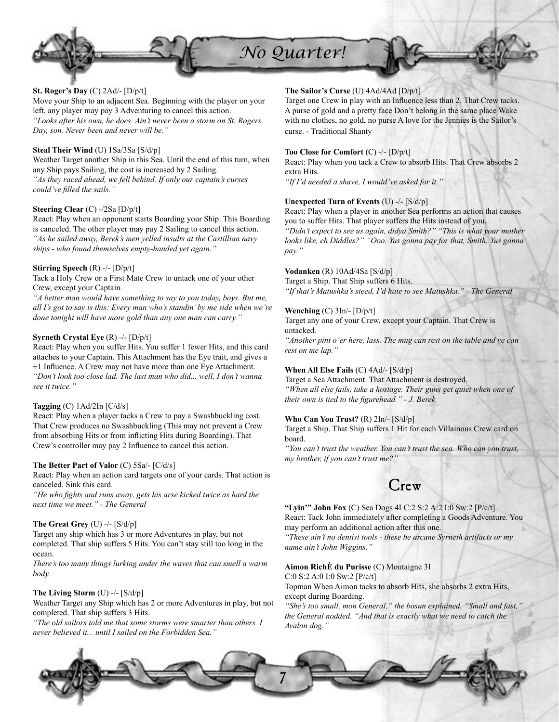

# **St. Roger's Day** (C) 2Ad/- [D/p/t]

Move your Ship to an adjacent Sea. Beginning with the player on your left, any player may pay 3 Adventuring to cancel this action. *"Looks after his own, he does. Ain't never been a storm on St. Rogers Day, son. Never been and never will be."*

# **Steal Their Wind** (U) 1Sa/3Sa [S/d/p]

Weather Target another Ship in this Sea. Until the end of this turn, when any Ship pays Sailing, the cost is increased by 2 Sailing. *"As they raced ahead, we fell behind. If only our captain's curses could've fi lled the sails."*

# **Steering Clear** (C) -/2Sa [D/p/t]

React: Play when an opponent starts Boarding your Ship. This Boarding is canceled. The other player may pay 2 Sailing to cancel this action. *"As he sailed away, Berek's men yelled insults at the Castillian navy ships - who found themselves empty-handed yet again."*

### **Stirring Speech** (R) -/- [D/p/t]

Tack a Holy Crew or a First Mate Crew to untack one of your other Crew, except your Captain.

*"A better man would have something to say to you today, boys. But me, all I's got to say is this: Every man who's standin' by me side when we're done tonight will have more gold than any one man can carry."*

# **Syrneth Crystal Eye** (R) -/- [D/p/t]

React: Play when you suffer Hits. You suffer 1 fewer Hits, and this card attaches to your Captain. This Attachment has the Eye trait, and gives a +1 Influence. A Crew may not have more than one Eye Attachment. *"Don't look too close lad. The last man who did... well, I don't wanna see it twice."*

# **Tagging** (C) 1Ad/2In [C/d/s]

React: Play when a player tacks a Crew to pay a Swashbuckling cost. That Crew produces no Swashbuckling (This may not prevent a Crew from absorbing Hits or from inflicting Hits during Boarding). That Crew's controller may pay 2 Influence to cancel this action.

# **The Better Part of Valor** (C) 5Sa/- [C/d/s]

React: Play when an action card targets one of your cards. That action is canceled. Sink this card.

"He who fights and runs away, gets his arse kicked twice as hard the *next time we meet." - The General*

### **The Great Grey** (U) -/- [S/d/p]

Target any ship which has 3 or more Adventures in play, but not completed. That ship suffers 5 Hits. You can't stay still too long in the ocean.

*There's too many things lurking under the waves that can smell a warm body.*

### **The Living Storm** (U) -/- [S/d/p]

Weather Target any Ship which has 2 or more Adventures in play, but not completed. That ship suffers 3 Hits.

*"The old sailors told me that some storms were smarter than others. I never believed it... until I sailed on the Forbidden Sea."*

# **The Sailor's Curse** (U) 4Ad/4Ad [D/p/t]

Target one Crew in play with an Influence less than 2. That Crew tacks. A purse of gold and a pretty face Don't belong in the same place Wake with no clothes, no gold, no purse A love for the Jennies is the Sailor's curse. - Traditional Shanty

### **Too Close for Comfort** (C) -/- [D/p/t]

React: Play when you tack a Crew to absorb Hits. That Crew absorbs 2 extra Hits.

*"If I'd needed a shave, I would've asked for it."*

# **Unexpected Turn of Events** (U) -/- [S/d/p]

React: Play when a player in another Sea performs an action that causes you to suffer Hits. That player suffers the Hits instead of you. *"Didn't expect to see us again, didya Smith?" "This is what your mother looks like, eh Diddles?" "Ooo. Yus gonna pay for that, Smith. Yus gonna pay."*

# **Vodanken** (R) 10Ad/4Sa [S/d/p]

Target a Ship. That Ship suffers 6 Hits. *"If that's Matushka's steed, I'd hate to see Matushka." - The General*

# **Wenching** (C) 3In/- [D/p/t]

Target any one of your Crew, except your Captain. That Crew is untacked.

*"Another pint o'er here, lass. The mug can rest on the table and ye can rest on me lap."*

# **When All Else Fails** (C) 4Ad/- [S/d/p]

Target a Sea Attachment. That Attachment is destroyed. *"When all else fails, take a hostage. Their guns get quiet when one of their own is tied to the figurehead." - J. Berek* 

#### **Who Can You Trust?** (R) 2In/- [S/d/p]

Target a Ship. That Ship suffers 1 Hit for each Villainous Crew card on board.

*"You can't trust the weather. You can't trust the sea. Who can you trust, my brother, if you can't trust me?"*

# Crew

**"Lyin'" John Fox** (C) Sea Dogs 4I C:2 S:2 A:2 I:0 Sw:2 [P/c/t] React: Tack John immediately after completing a Goods Adventure. You may perform an additional action after this one.

*"These ain't no dentist tools - these be arcane Syrneth artifacts or my name ain't John Wiggins."*

# **Aimon RichÈ du Purisse** (C) Montaigne 3I

C:0 S:2 A:0 I:0 Sw:2 [P/c/t]

Topman When Aimon tacks to absorb Hits, she absorbs 2 extra Hits, except during Boarding.

"She's too small, mon General," the bosun explained. "Small and fast, *the General nodded. "And that is exactly what we need to catch the Avalon dog."*

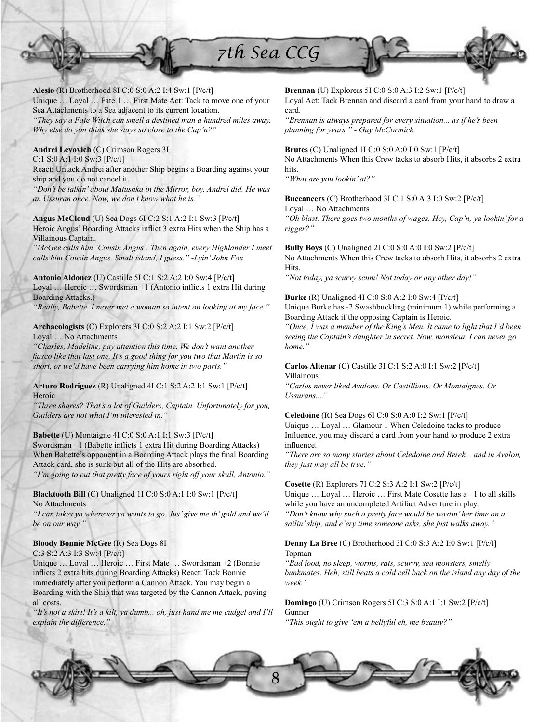

**Alesio** (R) Brotherhood 8I C:0 S:0 A:2 I:4 Sw:1 [P/c/t] Unique … Loyal … Fate 1 … First Mate Act: Tack to move one of your Sea Attachments to a Sea adjacent to its current location. *"They say a Fate Witch can smell a destined man a hundred miles away. Why else do you think she stays so close to the Cap'n?"*

# **Andrei Levovich** (C) Crimson Rogers 3I

C:1 S:0 A:1 I:0 Sw:3 [P/c/t]

React: Untack Andrei after another Ship begins a Boarding against your ship and you do not cancel it.

*"Don't be talkin' about Matushka in the Mirror, boy. Andrei did. He was an Ussuran once. Now, we don't know what he is."*

**Angus McCloud** (U) Sea Dogs 6I C:2 S:1 A:2 I:1 Sw:3 [P/c/t] Heroic Angus' Boarding Attacks inflict 3 extra Hits when the Ship has a Villainous Captain.

*"McGee calls him 'Cousin Angus'. Then again, every Highlander I meet calls him Cousin Angus. Small island, I guess." -Lyin' John Fox*

**Antonio Aldonez** (U) Castille 5I C:1 S:2 A:2 I:0 Sw:4 [P/c/t] Loyal ... Heroic ... Swordsman +1 (Antonio inflicts 1 extra Hit during Boarding Attacks.)

*"Really, Babette. I never met a woman so intent on looking at my face."*

### **Archaeologists** (C) Explorers 3I C:0 S:2 A:2 I:1 Sw:2 [P/c/t] Loyal … No Attachments

*"Charles, Madeline, pay attention this time. We don't want another fi asco like that last one. It's a good thing for you two that Martin is so short, or we'd have been carrying him home in two parts."*

# **Arturo Rodriguez** (R) Unaligned 4I C:1 S:2 A:2 I:1 Sw:1 [P/c/t] Heroic

*"Three shares? That's a lot of Guilders, Captain. Unfortunately for you, Guilders are not what I'm interested in."*

**Babette** (U) Montaigne 4I C:0 S:0 A:1 I:1 Sw:3 [P/c/t]

Swordsman +1 (Babette inflicts 1 extra Hit during Boarding Attacks) When Babette's opponent in a Boarding Attack plays the final Boarding Attack card, she is sunk but all of the Hits are absorbed. *"I'm going to cut that pretty face of yours right off your skull, Antonio."*

# **Blacktooth Bill** (C) Unaligned 1I C:0 S:0 A:1 I:0 Sw:1 [P/c/t] No Attachments

*"I can takes ya wherever ya wants ta go. Jus' give me th' gold and we'll be on our way."*

# **Bloody Bonnie McGee** (R) Sea Dogs 8I

C:3 S:2 A:3 I:3 Sw:4 [P/c/t]

Unique … Loyal … Heroic … First Mate … Swordsman +2 (Bonnie inflicts 2 extra hits during Boarding Attacks) React: Tack Bonnie immediately after you perform a Cannon Attack. You may begin a Boarding with the Ship that was targeted by the Cannon Attack, paying all costs.

*"It's not a skirt! It's a kilt, ya dumb... oh, just hand me me cudgel and I'll explain the difference."*

**Brennan** (U) Explorers 5I C:0 S:0 A:3 I:2 Sw:1 [P/c/t]

Loyal Act: Tack Brennan and discard a card from your hand to draw a card.

*"Brennan is always prepared for every situation... as if he's been planning for years." - Guy McCormick*

**Brutes** (C) Unaligned 1I C:0 S:0 A:0 I:0 Sw:1 [P/c/t]

No Attachments When this Crew tacks to absorb Hits, it absorbs 2 extra hits.

*"What are you lookin' at?"*

**Buccaneers** (C) Brotherhood 3I C:1 S:0 A:3 I:0 Sw:2 [P/c/t] Loyal … No Attachments

*"Oh blast. There goes two months of wages. Hey, Cap'n, ya lookin' for a rigger?"*

**Bully Boys** (C) Unaligned 2I C:0 S:0 A:0 I:0 Sw:2 [P/c/t] No Attachments When this Crew tacks to absorb Hits, it absorbs 2 extra Hits.

*"Not today, ya scurvy scum! Not today or any other day!"*

**Burke** (R) Unaligned 4I C:0 S:0 A:2 I:0 Sw:4 [P/c/t] Unique Burke has -2 Swashbuckling (minimum 1) while performing a Boarding Attack if the opposing Captain is Heroic.

*"Once, I was a member of the King's Men. It came to light that I'd been seeing the Captain's daughter in secret. Now, monsieur, I can never go home."*

# **Carlos Altenar** (C) Castille 3I C:1 S:2 A:0 I:1 Sw:2 [P/c/t] Villainous

*"Carlos never liked Avalons. Or Castillians. Or Montaignes. Or Ussurans..."*

**Celedoine** (R) Sea Dogs 6I C:0 S:0 A:0 I:2 Sw:1 [P/c/t]

Unique … Loyal … Glamour 1 When Celedoine tacks to produce Influence, you may discard a card from your hand to produce 2 extra influence.

*"There are so many stories about Celedoine and Berek... and in Avalon, they just may all be true."*

# **Cosette** (R) Explorers 7I C:2 S:3 A:2 I:1 Sw:2 [P/c/t]

Unique ... Loyal ... Heroic ... First Mate Cosette has a +1 to all skills while you have an uncompleted Artifact Adventure in play. *"Don't know why such a pretty face would be wastin' her time on a sailin' ship, and e'ery time someone asks, she just walks away."*

# **Denny La Bree** (C) Brotherhood 3I C:0 S:3 A:2 I:0 Sw:1 [P/c/t] Topman

*"Bad food, no sleep, worms, rats, scurvy, sea monsters, smelly bunkmates. Heh, still beats a cold cell back on the island any day of the week."*

# **Domingo** (U) Crimson Rogers 5I C:3 S:0 A:1 I:1 Sw:2 [P/c/t] Gunner

*"This ought to give 'em a bellyful eh, me beauty?"*

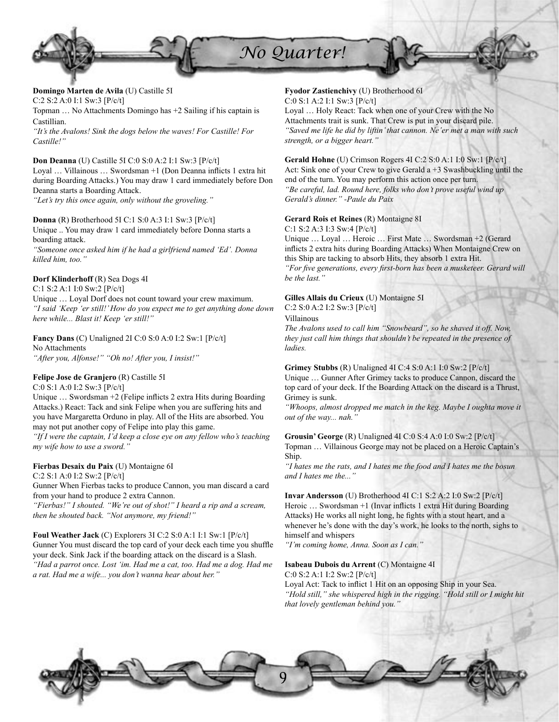

**Domingo Marten de Avila** (U) Castille 5I C:2 S:2 A:0 I:1 Sw:3 [P/c/t] Topman … No Attachments Domingo has +2 Sailing if his captain is Castillian.

*"It's the Avalons! Sink the dogs below the waves! For Castille! For Castille!"*

# **Don Deanna** (U) Castille 5I C:0 S:0 A:2 I:1 Sw:3 [P/c/t]

Loyal ... Villainous ... Swordsman +1 (Don Deanna inflicts 1 extra hit during Boarding Attacks.) You may draw 1 card immediately before Don Deanna starts a Boarding Attack.

*"Let's try this once again, only without the groveling."*

# **Donna** (R) Brotherhood 5I C:1 S:0 A:3 I:1 Sw:3 [P/c/t]

Unique .. You may draw 1 card immediately before Donna starts a boarding attack.

*"Someone once asked him if he had a girlfriend named 'Ed'. Donna killed him, too."*

### **Dorf Klinderhoff** (R) Sea Dogs 4I

C:1 S:2 A:1 I:0 Sw:2 [P/c/t]

Unique … Loyal Dorf does not count toward your crew maximum. *"I said 'Keep 'er still!' How do you expect me to get anything done down here while... Blast it! Keep 'er still!"*

**Fancy Dans** (C) Unaligned 2I C:0 S:0 A:0 I:2 Sw:1 [P/c/t] No Attachments

*"After you, Alfonse!" "Oh no! After you, I insist!"*

### **Felipe Jose de Granjero** (R) Castille 5I

# C:0 S:1 A:0 I:2 Sw:3 [P/c/t]

Unique  $\ldots$  Swordsman +2 (Felipe inflicts 2 extra Hits during Boarding Attacks.) React: Tack and sink Felipe when you are suffering hits and you have Margaretta Orduno in play. All of the Hits are absorbed. You may not put another copy of Felipe into play this game.

*"If I were the captain, I'd keep a close eye on any fellow who's teaching my wife how to use a sword."*

# **Fierbas Desaix du Paix** (U) Montaigne 6I

C:2 S:1 A:0 I:2 Sw:2 [P/c/t]

Gunner When Fierbas tacks to produce Cannon, you man discard a card from your hand to produce 2 extra Cannon.

*"Fierbas!" I shouted. "We're out of shot!" I heard a rip and a scream, then he shouted back. "Not anymore, my friend!"*

**Foul Weather Jack** (C) Explorers 3I C:2 S:0 A:1 I:1 Sw:1 [P/c/t] Gunner You must discard the top card of your deck each time you shuffle your deck. Sink Jack if the boarding attack on the discard is a Slash. *"Had a parrot once. Lost 'im. Had me a cat, too. Had me a dog. Had me a rat. Had me a wife... you don't wanna hear about her."*

### **Fyodor Zastienchivy** (U) Brotherhood 6I

C:0 S:1 A:2 I:1 Sw:3 [P/c/t]

Loyal … Holy React: Tack when one of your Crew with the No Attachments trait is sunk. That Crew is put in your discard pile. *"Saved me life he did by liftin' that cannon. Ne'er met a man with such strength, or a bigger heart."*

### **Gerald Hohne** (U) Crimson Rogers 4I C:2 S:0 A:1 I:0 Sw:1 [P/c/t]

Act: Sink one of your Crew to give Gerald a +3 Swashbuckling until the end of the turn. You may perform this action once per turn. *"Be careful, lad. Round here, folks who don't prove useful wind up Gerald's dinner." -Paule du Paix*

### **Gerard Rois et Reines** (R) Montaigne 8I

C:1 S:2 A:3 I:3 Sw:4 [P/c/t]

Unique … Loyal … Heroic … First Mate … Swordsman +2 (Gerard inflicts 2 extra hits during Boarding Attacks) When Montaigne Crew on this Ship are tacking to absorb Hits, they absorb 1 extra Hit. "For five generations, every first-born has been a musketeer. Gerard will *be the last."*

### **Gilles Allais du Crieux** (U) Montaigne 5I

C:2 S:0 A:2 I:2 Sw:3 [P/c/t]

Villainous

*The Avalons used to call him "Snowbeard", so he shaved it off. Now, they just call him things that shouldn't be repeated in the presence of ladies.*

### **Grimey Stubbs** (R) Unaligned 4I C:4 S:0 A:1 I:0 Sw:2 [P/c/t] Unique … Gunner After Grimey tacks to produce Cannon, discard the top card of your deck. If the Boarding Attack on the discard is a Thrust, Grimey is sunk.

*"Whoops, almost dropped me match in the keg. Maybe I oughta move it out of the way... nah."*

**Grousin' George** (R) Unaligned 4I C:0 S:4 A:0 I:0 Sw:2 [P/c/t] Topman … Villainous George may not be placed on a Heroic Captain's Ship.

*"I hates me the rats, and I hates me the food and I hates me the bosun and I hates me the..."*

**Invar Andersson** (U) Brotherhood 4I C:1 S:2 A:2 I:0 Sw:2 [P/c/t] Heroic ... Swordsman +1 (Invar inflicts 1 extra Hit during Boarding Attacks) He works all night long, he fights with a stout heart, and a whenever he's done with the day's work, he looks to the north, sighs to himself and whispers

*"I'm coming home, Anna. Soon as I can."*

# **Isabeau Dubois du Arrent** (C) Montaigne 4I

C:0 S:2 A:1 I:2 Sw:2 [P/c/t]

Loyal Act: Tack to inflict 1 Hit on an opposing Ship in your Sea. *"Hold still," she whispered high in the rigging. "Hold still or I might hit that lovely gentleman behind you."*

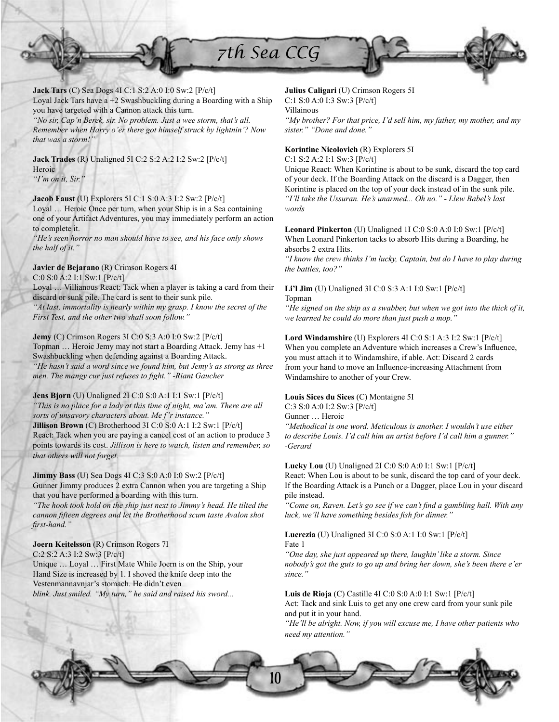

**Jack Tars** (C) Sea Dogs 4I C:1 S:2 A:0 I:0 Sw:2 [P/c/t] Loyal Jack Tars have a +2 Swashbuckling during a Boarding with a Ship you have targeted with a Cannon attack this turn.

*"No sir, Cap'n Berek, sir. No problem. Just a wee storm, that's all. Remember when Harry o'er there got himself struck by lightnin'? Now that was a storm!"*

**Jack Trades** (R) Unaligned 5I C:2 S:2 A:2 I:2 Sw:2 [P/c/t] Heroic *"I'm on it, Sir."*

### **Jacob Faust** (U) Explorers 5I C:1 S:0 A:3 I:2 Sw:2 [P/c/t]

Loyal … Heroic Once per turn, when your Ship is in a Sea containing one of your Artifact Adventures, you may immediately perform an action to complete it.

*"He's seen horror no man should have to see, and his face only shows the half of it."*

# **Javier de Bejarano** (R) Crimson Rogers 4I

C:0 S:0 A:2 I:1 Sw:1 [P/c/t]

Loyal … Villianous React: Tack when a player is taking a card from their discard or sunk pile. The card is sent to their sunk pile. *"At last, immortality is nearly within my grasp. I know the secret of the First Test, and the other two shall soon follow."*

**Jemy** (C) Crimson Rogers 3I C:0 S:3 A:0 I:0 Sw:2 [P/c/t] Topman … Heroic Jemy may not start a Boarding Attack. Jemy has +1 Swashbuckling when defending against a Boarding Attack. *"He hasn't said a word since we found him, but Jemy's as strong as three men. The mangy cur just refuses to fight." -Riant Gaucher* 

**Jens Bjorn** (U) Unaligned 2I C:0 S:0 A:1 I:1 Sw:1 [P/c/t] *"This is no place for a lady at this time of night, ma'am. There are all sorts of unsavory characters about. Me f'r instance."* **Jillison Brown** (C) Brotherhood 3I C:0 S:0 A:1 I:2 Sw:1 [P/c/t] React: Tack when you are paying a cancel cost of an action to produce 3 points towards its cost. *Jillison is here to watch, listen and remember, so that others will not forget.*

**Jimmy Bass** (U) Sea Dogs 4I C:3 S:0 A:0 I:0 Sw:2 [P/c/t] Gunner Jimmy produces 2 extra Cannon when you are targeting a Ship that you have performed a boarding with this turn.

*"The hook took hold on the ship just next to Jimmy's head. He tilted the*  cannon fifteen degrees and let the Brotherhood scum taste Avalon shot first-hand."

### **Joern Keitelsson** (R) Crimson Rogers 7I

C:2 S:2 A:3 I:2 Sw:3 [P/c/t] Unique … Loyal … First Mate While Joern is on the Ship, your Hand Size is increased by 1. I shoved the knife deep into the Vestenmannavnjar's stomach. He didn't even *blink. Just smiled. "My turn," he said and raised his sword...*

# **Julius Caligari** (U) Crimson Rogers 5I

C:1 S:0 A:0 I:3 Sw:3 [P/c/t]

Villainous

*"My brother? For that price, I'd sell him, my father, my mother, and my sister." "Done and done."*

# **Korintine Nicolovich** (R) Explorers 5I

C:1 S:2 A:2 I:1 Sw:3 [P/c/t]

Unique React: When Korintine is about to be sunk, discard the top card of your deck. If the Boarding Attack on the discard is a Dagger, then Korintine is placed on the top of your deck instead of in the sunk pile. *"I'll take the Ussuran. He's unarmed... Oh no." - Llew Babel's last words*

**Leonard Pinkerton** (U) Unaligned 1I C:0 S:0 A:0 I:0 Sw:1 [P/c/t] When Leonard Pinkerton tacks to absorb Hits during a Boarding, he absorbs 2 extra Hits.

*"I know the crew thinks I'm lucky, Captain, but do I have to play during the battles, too?"*

### **Li'l Jim** (U) Unaligned 3I C:0 S:3 A:1 I:0 Sw:1 [P/c/t] Topman

*"He signed on the ship as a swabber, but when we got into the thick of it, we learned he could do more than just push a mop."*

# **Lord Windamshire** (U) Explorers 4I C:0 S:1 A:3 I:2 Sw:1 [P/c/t]

When you complete an Adventure which increases a Crew's Influence, you must attach it to Windamshire, if able. Act: Discard 2 cards from your hand to move an Influence-increasing Attachment from Windamshire to another of your Crew.

# **Louis Sices du Sices** (C) Montaigne 5I

C:3 S:0 A:0 I:2 Sw:3 [P/c/t]

Gunner … Heroic

*"Methodical is one word. Meticulous is another. I wouldn't use either to describe Louis. I'd call him an artist before I'd call him a gunner." -Gerard*

### **Lucky Lou** (U) Unaligned 2I C:0 S:0 A:0 I:1 Sw:1 [P/c/t]

React: When Lou is about to be sunk, discard the top card of your deck. If the Boarding Attack is a Punch or a Dagger, place Lou in your discard pile instead.

"Come on, Raven. Let's go see if we can't find a gambling hall. With any *luck, we'll have something besides fish for dinner.'* 

### **Lucrezia** (U) Unaligned 3I C:0 S:0 A:1 I:0 Sw:1 [P/c/t] Fate 1

*"One day, she just appeared up there, laughin' like a storm. Since nobody's got the guts to go up and bring her down, she's been there e'er since."*

# **Luis de Rioja** (C) Castille 4I C:0 S:0 A:0 I:1 Sw:1 [P/c/t]

Act: Tack and sink Luis to get any one crew card from your sunk pile and put it in your hand.

*"He'll be alright. Now, if you will excuse me, I have other patients who need my attention."*

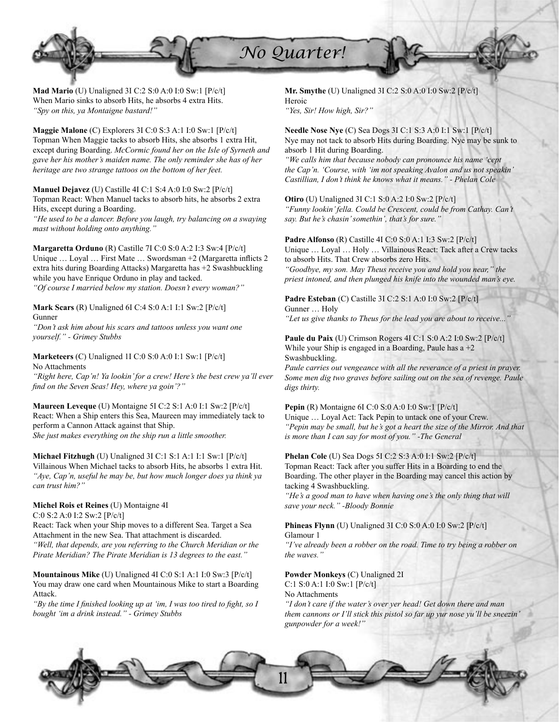

**Mad Mario** (U) Unaligned 3I C:2 S:0 A:0 I:0 Sw:1 [P/c/t] When Mario sinks to absorb Hits, he absorbs 4 extra Hits. *"Spy on this, ya Montaigne bastard!"*

**Maggie Malone** (C) Explorers 3I C:0 S:3 A:1 I:0 Sw:1 [P/c/t] Topman When Maggie tacks to absorb Hits, she absorbs 1 extra Hit, except during Boarding. *McCormic found her on the Isle of Syrneth and gave her his mother's maiden name. The only reminder she has of her heritage are two strange tattoos on the bottom of her feet.*

**Manuel Dejavez** (U) Castille 4I C:1 S:4 A:0 I:0 Sw:2 [P/c/t] Topman React: When Manuel tacks to absorb hits, he absorbs 2 extra Hits, except during a Boarding.

*"He used to be a dancer. Before you laugh, try balancing on a swaying mast without holding onto anything."*

**Margaretta Orduno** (R) Castille 7I C:0 S:0 A:2 I:3 Sw:4 [P/c/t] Unique ... Loyal ... First Mate ... Swordsman +2 (Margaretta inflicts 2 extra hits during Boarding Attacks) Margaretta has +2 Swashbuckling while you have Enrique Orduno in play and tacked. *"Of course I married below my station. Doesn't every woman?"*

**Mark Scars** (R) Unaligned 6I C:4 S:0 A:1 I:1 Sw:2 [P/c/t] Gunner

*"Don't ask him about his scars and tattoos unless you want one yourself." - Grimey Stubbs*

**Marketeers** (C) Unaligned 1I C:0 S:0 A:0 I:1 Sw:1 [P/c/t] No Attachments

*"Right here, Cap'n! Ya lookin' for a crew! Here's the best crew ya'll ever fi nd on the Seven Seas! Hey, where ya goin'?"*

**Maureen Leveque** (U) Montaigne 5I C:2 S:1 A:0 I:1 Sw:2 [P/c/t] React: When a Ship enters this Sea, Maureen may immediately tack to perform a Cannon Attack against that Ship. *She just makes everything on the ship run a little smoother.*

**Michael Fitzhugh** (U) Unaligned 3I C:1 S:1 A:1 I:1 Sw:1 [P/c/t] Villainous When Michael tacks to absorb Hits, he absorbs 1 extra Hit. *"Aye, Cap'n, useful he may be, but how much longer does ya think ya can trust him?"*

### **Michel Rois et Reines** (U) Montaigne 4I

C:0 S:2 A:0 I:2 Sw:2 [P/c/t]

React: Tack when your Ship moves to a different Sea. Target a Sea Attachment in the new Sea. That attachment is discarded. *"Well, that depends, are you referring to the Church Meridian or the Pirate Meridian? The Pirate Meridian is 13 degrees to the east."*

**Mountainous Mike** (U) Unaligned 4I C:0 S:1 A:1 I:0 Sw:3 [P/c/t] You may draw one card when Mountainous Mike to start a Boarding Attack.

*"By the time I finished looking up at 'im, I was too tired to fight, so I bought 'im a drink instead." - Grimey Stubbs*

**Mr. Smythe** (U) Unaligned 3I C:2 S:0 A:0 I:0 Sw:2 [P/c/t] Heroic *"Yes, Sir! How high, Sir?"*

**Needle Nose Nye** (C) Sea Dogs 3I C:1 S:3 A:0 I:1 Sw:1 [P/c/t] Nye may not tack to absorb Hits during Boarding. Nye may be sunk to absorb 1 Hit during Boarding.

*"We calls him that because nobody can pronounce his name 'cept the Cap'n. 'Course, with 'im not speaking Avalon and us not speakin' Castillian, I don't think he knows what it means." - Phelan Cole*

**Otiro** (U) Unaligned 3I C:1 S:0 A:2 I:0 Sw:2 [P/c/t] *"Funny lookin' fella. Could be Crescent, could be from Cathay. Can't say. But he's chasin' somethin', that's for sure."*

# **Padre Alfonso** (R) Castille 4I C:0 S:0 A:1 I:3 Sw:2 [P/c/t]

Unique … Loyal … Holy … Villainous React: Tack after a Crew tacks to absorb Hits. That Crew absorbs zero Hits. *"Goodbye, my son. May Theus receive you and hold you near," the priest intoned, and then plunged his knife into the wounded man's eye.*

# **Padre Esteban** (C) Castille 3I C:2 S:1 A:0 I:0 Sw:2 [P/c/t] Gunner … Holy

*"Let us give thanks to Theus for the lead you are about to receive..."*

**Paule du Paix** (U) Crimson Rogers 4I C:1 S:0 A:2 I:0 Sw:2 [P/c/t] While your Ship is engaged in a Boarding, Paule has  $a + 2$ Swashbuckling.

*Paule carries out vengeance with all the reverance of a priest in prayer. Some men dig two graves before sailing out on the sea of revenge. Paule digs thirty.*

**Pepin** (R) Montaigne 6I C:0 S:0 A:0 I:0 Sw:1 [P/c/t] Unique … Loyal Act: Tack Pepin to untack one of your Crew. *"Pepin may be small, but he's got a heart the size of the Mirror. And that is more than I can say for most of you." -The General*

**Phelan Cole** (U) Sea Dogs 5I C:2 S:3 A:0 I:1 Sw:2 [P/c/t] Topman React: Tack after you suffer Hits in a Boarding to end the Boarding. The other player in the Boarding may cancel this action by tacking 4 Swashbuckling.

*"He's a good man to have when having one's the only thing that will save your neck." -Bloody Bonnie*

### **Phineas Flynn** (U) Unaligned 3I C:0 S:0 A:0 I:0 Sw:2 [P/c/t] Glamour 1

*"I've already been a robber on the road. Time to try being a robber on the waves."*

# **Powder Monkeys** (C) Unaligned 2I C:1 S:0 A:1 I:0 Sw:1 [P/c/t]

No Attachments

*"I don't care if the water's over yer head! Get down there and man them cannons or I'll stick this pistol so far up yur nose yu'll be sneezin' gunpowder for a week!"*

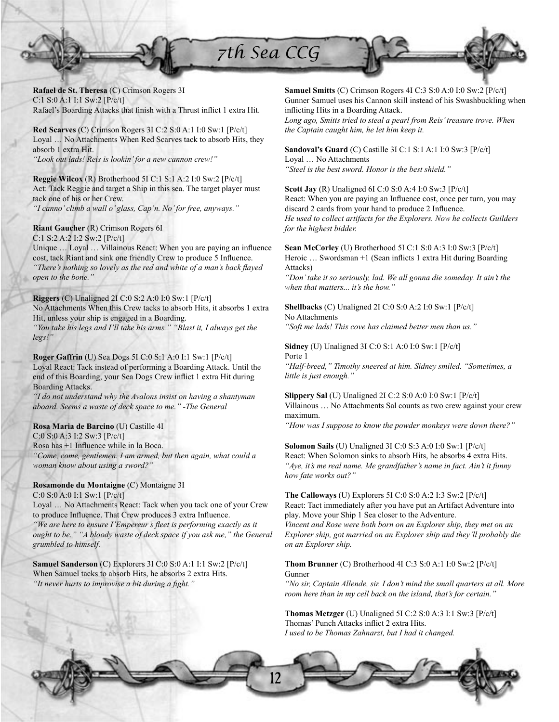

**Rafael de St. Theresa** (C) Crimson Rogers 3I C:1 S:0 A:1 I:1 Sw:2 [P/c/t] Rafael's Boarding Attacks that finish with a Thrust inflict 1 extra Hit.

**Red Scarves** (C) Crimson Rogers 3I C:2 S:0 A:1 I:0 Sw:1 [P/c/t] Loyal … No Attachments When Red Scarves tack to absorb Hits, they absorb 1 extra Hit. *"Look out lads! Reis is lookin' for a new cannon crew!"*

**Reggie Wilcox** (R) Brotherhood 5I C:1 S:1 A:2 I:0 Sw:2 [P/c/t] Act: Tack Reggie and target a Ship in this sea. The target player must tack one of his or her Crew. *"I canno' climb a wall o' glass, Cap'n. No' for free, anyways."*

# **Riant Gaucher** (R) Crimson Rogers 6I

C:1 S:2 A:2 I:2 Sw:2 [P/c/t]

Unique ... Loyal ... Villainous React: When you are paying an influence cost, tack Riant and sink one friendly Crew to produce 5 Influence. *"There's nothing so lovely as the red and white of a man's back flayed open to the bone."*

# **Riggers** (C) Unaligned 2I C:0 S:2 A:0 I:0 Sw:1 [P/c/t]

No Attachments When this Crew tacks to absorb Hits, it absorbs 1 extra Hit, unless your ship is engaged in a Boarding.

*"You take his legs and I'll take his arms." "Blast it, I always get the legs!"*

**Roger Gaffrin** (U) Sea Dogs 5I C:0 S:1 A:0 I:1 Sw:1 [P/c/t] Loyal React: Tack instead of performing a Boarding Attack. Until the end of this Boarding, your Sea Dogs Crew inflict 1 extra Hit during Boarding Attacks.

*"I do not understand why the Avalons insist on having a shantyman aboard. Seems a waste of deck space to me." -The General*

# **Rosa Maria de Barcino** (U) Castille 4I

C:0 S:0 A:3 I:2 Sw:3 [P/c/t] Rosa has +1 Influence while in la Boca. *"Come, come, gentlemen. I am armed, but then again, what could a woman know about using a sword?"*

# **Rosamonde du Montaigne** (C) Montaigne 3I

C:0 S:0 A:0 I:1 Sw:1 [P/c/t] Loyal … No Attachments React: Tack when you tack one of your Crew to produce Influence. That Crew produces 3 extra Influence. *"We are here to ensure I'Empereur's fleet is performing exactly as it ought to be." "A bloody waste of deck space if you ask me," the General grumbled to himself.*

**Samuel Sanderson** (C) Explorers 3I C:0 S:0 A:1 I:1 Sw:2 [P/c/t] When Samuel tacks to absorb Hits, he absorbs 2 extra Hits. "It never hurts to *improvise a bit during a fight.*"

**Samuel Smitts** (C) Crimson Rogers 4I C:3 S:0 A:0 I:0 Sw:2 [P/c/t] Gunner Samuel uses his Cannon skill instead of his Swashbuckling when inflicting Hits in a Boarding Attack.

*Long ago, Smitts tried to steal a pearl from Reis' treasure trove. When the Captain caught him, he let him keep it.*

**Sandoval's Guard** (C) Castille 3I C:1 S:1 A:1 I:0 Sw:3 [P/c/t] Loyal … No Attachments

*"Steel is the best sword. Honor is the best shield."*

**Scott Jay** (R) Unaligned 6I C:0 S:0 A:4 I:0 Sw:3 [P/c/t] React: When you are paying an Influence cost, once per turn, you may discard 2 cards from your hand to produce 2 Influence. *He used to collect artifacts for the Explorers. Now he collects Guilders for the highest bidder.*

**Sean McCorley** (U) Brotherhood 5I C:1 S:0 A:3 I:0 Sw:3 [P/c/t] Heroic ... Swordsman +1 (Sean inflicts 1 extra Hit during Boarding Attacks)

*"Don' take it so seriously, lad. We all gonna die someday. It ain't the when that matters... it's the how."*

**Shellbacks** (C) Unaligned 2I C:0 S:0 A:2 I:0 Sw:1 [P/c/t] No Attachments

*"Soft me lads! This cove has claimed better men than us."*

**Sidney** (U) Unaligned 3I C:0 S:1 A:0 I:0 Sw:1 [P/c/t] Porte 1

*"Half-breed," Timothy sneered at him. Sidney smiled. "Sometimes, a little is just enough."*

**Slippery Sal** (U) Unaligned 2I C:2 S:0 A:0 I:0 Sw:1 [P/c/t] Villainous … No Attachments Sal counts as two crew against your crew maximum.

*"How was I suppose to know the powder monkeys were down there?"*

**Solomon Sails** (U) Unaligned 3I C:0 S:3 A:0 I:0 Sw:1 [P/c/t] React: When Solomon sinks to absorb Hits, he absorbs 4 extra Hits. *"Aye, it's me real name. Me grandfather's name in fact. Ain't it funny how fate works out?"*

**The Calloways** (U) Explorers 5I C:0 S:0 A:2 I:3 Sw:2 [P/c/t] React: Tact immediately after you have put an Artifact Adventure into play. Move your Ship 1 Sea closer to the Adventure.

*Vincent and Rose were both born on an Explorer ship, they met on an Explorer ship, got married on an Explorer ship and they'll probably die on an Explorer ship.*

# **Thom Brunner** (C) Brotherhood 4I C:3 S:0 A:1 I:0 Sw:2 [P/c/t] Gunner

*"No sir, Captain Allende, sir. I don't mind the small quarters at all. More room here than in my cell back on the island, that's for certain."*

**Thomas Metzger** (U) Unaligned 5I C:2 S:0 A:3 I:1 Sw:3 [P/c/t] Thomas' Punch Attacks inflict 2 extra Hits. *I used to be Thomas Zahnarzt, but I had it changed.*

12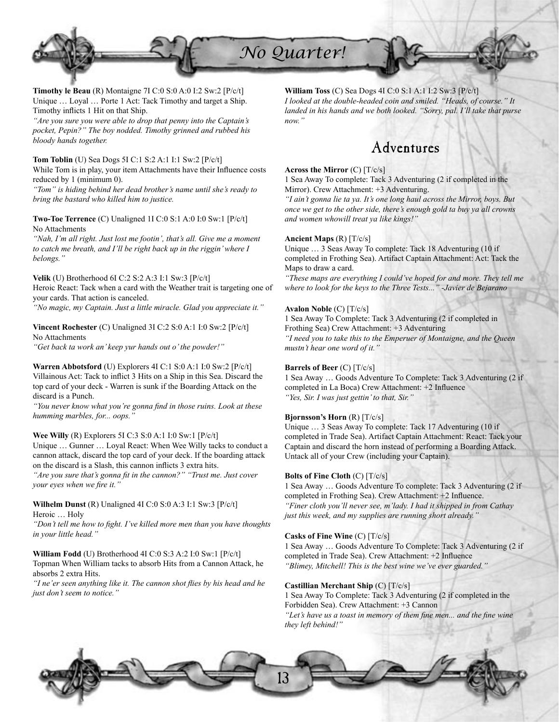

**Timothy le Beau** (R) Montaigne 7I C:0 S:0 A:0 I:2 Sw:2 [P/c/t] Unique … Loyal … Porte 1 Act: Tack Timothy and target a Ship. Timothy inflicts 1 Hit on that Ship.

*"Are you sure you were able to drop that penny into the Captain's pocket, Pepin?" The boy nodded. Timothy grinned and rubbed his bloody hands together.*

# **Tom Toblin** (U) Sea Dogs 5I C:1 S:2 A:1 I:1 Sw:2 [P/c/t]

While Tom is in play, your item Attachments have their Influence costs reduced by 1 (minimum 0).

*"Tom" is hiding behind her dead brother's name until she's ready to bring the bastard who killed him to justice.*

**Two-Toe Terrence** (C) Unaligned 1I C:0 S:1 A:0 I:0 Sw:1 [P/c/t] No Attachments

*"Nah, I'm all right. Just lost me footin', that's all. Give me a moment to catch me breath, and I'll be right back up in the riggin' where I belongs."*

### **Velik** (U) Brotherhood 6I C:2 S:2 A:3 I:1 Sw:3 [P/c/t]

Heroic React: Tack when a card with the Weather trait is targeting one of your cards. That action is canceled.

*"No magic, my Captain. Just a little miracle. Glad you appreciate it."*

**Vincent Rochester** (C) Unaligned 3I C:2 S:0 A:1 I:0 Sw:2 [P/c/t] No Attachments

*"Get back ta work an' keep yur hands out o' the powder!"*

**Warren Abbotsford** (U) Explorers 4I C:1 S:0 A:1 I:0 Sw:2 [P/c/t] Villainous Act: Tack to inflict 3 Hits on a Ship in this Sea. Discard the top card of your deck - Warren is sunk if the Boarding Attack on the discard is a Punch.

"You never know what you're gonna find in those ruins. Look at these *humming marbles, for... oops."*

# **Wee Willy** (R) Explorers 5I C:3 S:0 A:1 I:0 Sw:1 [P/c/t]

Unique … Gunner … Loyal React: When Wee Willy tacks to conduct a cannon attack, discard the top card of your deck. If the boarding attack on the discard is a Slash, this cannon inflicts 3 extra hits.

"Are you sure that's gonna fit in the cannon?" "Trust me. Just cover *your eyes when we fire it.*"

### **Wilhelm Dunst** (R) Unaligned 4I C:0 S:0 A:3 I:1 Sw:3 [P/c/t] Heroic … Holy

*"Don't tell me how to fight. I've killed more men than you have thoughts in your little head."*

**William Fodd** (U) Brotherhood 4I C:0 S:3 A:2 I:0 Sw:1 [P/c/t] Topman When William tacks to absorb Hits from a Cannon Attack, he absorbs 2 extra Hits.

"I ne'er seen anything like it. The cannon shot flies by his head and he *just don't seem to notice."*

**William Toss** (C) Sea Dogs 4I C:0 S:1 A:1 I:2 Sw:3 [P/c/t] *I looked at the double-headed coin and smiled. "Heads, of course." It landed in his hands and we both looked. "Sorry, pal. I'll take that purse now."*

# Adventures

### **Across the Mirror** (C) [T/c/s]

1 Sea Away To complete: Tack 3 Adventuring (2 if completed in the Mirror). Crew Attachment: +3 Adventuring.

*"I ain't gonna lie ta ya. It's one long haul across the Mirror, boys. But once we get to the other side, there's enough gold ta buy ya all crowns and women whowill treat ya like kings!"*

### **Ancient Maps** (R) [T/c/s]

Unique … 3 Seas Away To complete: Tack 18 Adventuring (10 if completed in Frothing Sea). Artifact Captain Attachment: Act: Tack the Maps to draw a card.

*"These maps are everything I could've hoped for and more. They tell me where to look for the keys to the Three Tests..." -Javier de Bejarano*

### **Avalon Noble** (C) [T/c/s]

1 Sea Away To Complete: Tack 3 Adventuring (2 if completed in Frothing Sea) Crew Attachment: +3 Adventuring *"I need you to take this to the Emperuer of Montaigne, and the Queen mustn't hear one word of it."*

### **Barrels of Beer** (C) [T/c/s]

1 Sea Away … Goods Adventure To Complete: Tack 3 Adventuring (2 if completed in La Boca) Crew Attachment: +2 Influence *"Yes, Sir. I was just gettin' to that, Sir."*

# **Bjornsson's Horn** (R) [T/c/s]

Unique … 3 Seas Away To complete: Tack 17 Adventuring (10 if completed in Trade Sea). Artifact Captain Attachment: React: Tack your Captain and discard the horn instead of performing a Boarding Attack. Untack all of your Crew (including your Captain).

# **Bolts of Fine Cloth** (C) [T/c/s]

1 Sea Away … Goods Adventure To complete: Tack 3 Adventuring (2 if completed in Frothing Sea). Crew Attachment: +2 Influence. *"Finer cloth you'll never see, m'lady. I had it shipped in from Cathay just this week, and my supplies are running short already."*

### **Casks of Fine Wine** (C) [T/c/s]

1 Sea Away … Goods Adventure To Complete: Tack 3 Adventuring (2 if completed in Trade Sea). Crew Attachment: +2 Influence *"Blimey, Mitchell! This is the best wine we've ever guarded."*

# **Castillian Merchant Ship** (C) [T/c/s]

1 Sea Away To Complete: Tack 3 Adventuring (2 if completed in the Forbidden Sea). Crew Attachment: +3 Cannon "Let's have us a toast in memory of them fine men... and the fine wine *they left behind!"*

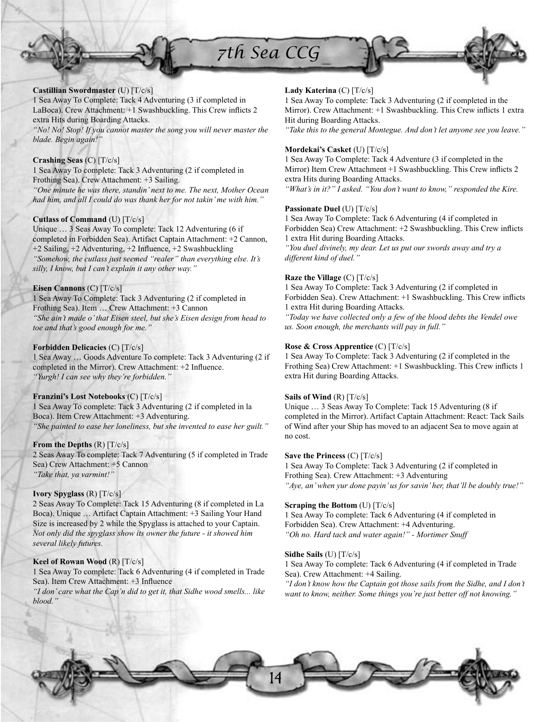



1 Sea Away To Complete: Tack 4 Adventuring (3 if completed in LaBoca). Crew Attachment: +1 Swashbuckling. This Crew inflicts 2 extra Hits during Boarding Attacks.

*"No! No! Stop! If you cannot master the song you will never master the blade. Begin again!"*

# **Crashing Seas** (C) [T/c/s]

1 Sea Away To complete: Tack 3 Adventuring (2 if completed in Frothing Sea). Crew Attachment: +3 Sailing. *"One minute he was there, standin' next to me. The next, Mother Ocean had him, and all I could do was thank her for not takin' me with him."*

### **Cutlass of Command** (U) [T/c/s]

Unique … 3 Seas Away To complete: Tack 12 Adventuring (6 if completed in Forbidden Sea). Artifact Captain Attachment: +2 Cannon, +2 Sailing, +2 Adventuring, +2 Influence, +2 Swashbuckling *"Somehow, the cutlass just seemed "realer" than everything else. It's silly, I know, but I can't explain it any other way."*

### **Eisen Cannons** (C) [T/c/s]

1 Sea Away To Complete: Tack 3 Adventuring (2 if completed in Frothing Sea). Item … Crew Attachment: +3 Cannon *"She ain't made o' that Eisen steel, but she's Eisen design from head to toe and that's good enough for me."*

### **Forbidden Delicacies** (C) [T/c/s]

1 Sea Away … Goods Adventure To complete: Tack 3 Adventuring (2 if completed in the Mirror). Crew Attachment:  $+2$  Influence. *"Yurgh! I can see why they're forbidden."*

### **Franzini's Lost Notebooks** (C) [T/c/s]

1 Sea Away To complete: Tack 3 Adventuring (2 if completed in la Boca). Item Crew Attachment: +3 Adventuring. *"She painted to ease her loneliness, but she invented to ease her guilt."*

### **From the Depths** (R) [T/c/s]

2 Seas Away To complete: Tack 7 Adventuring (5 if completed in Trade Sea) Crew Attachment: +5 Cannon *"Take that, ya varmint!"*

### **Ivory Spyglass** (R) [T/c/s]

2 Seas Away To Complete: Tack 15 Adventuring (8 if completed in La Boca). Unique … Artifact Captain Attachment: +3 Sailing Your Hand Size is increased by 2 while the Spyglass is attached to your Captain. *Not only did the spyglass show its owner the future - it showed him several likely futures.*

### **Keel of Rowan Wood** (R) [T/c/s]

1 Sea Away To complete: Tack 6 Adventuring (4 if completed in Trade Sea). Item Crew Attachment: +3 Influence *"I don' care what the Cap'n did to get it, that Sidhe wood smells... like* 

*blood."*

# **Lady Katerina** (C) [T/c/s]

1 Sea Away To complete: Tack 3 Adventuring (2 if completed in the Mirror). Crew Attachment: +1 Swashbuckling. This Crew inflicts 1 extra Hit during Boarding Attacks.

*"Take this to the general Montegue. And don't let anyone see you leave."*

### **Mordekai's Casket** (U) [T/c/s]

1 Sea Away To Complete: Tack 4 Adventure (3 if completed in the Mirror) Item Crew Attachment +1 Swashbuckling. This Crew inflicts 2 extra Hits during Boarding Attacks.

*"What's in it?" I asked. "You don't want to know," responded the Kire.*

### **Passionate Duel** (U) [T/c/s]

1 Sea Away To Complete: Tack 6 Adventuring (4 if completed in Forbidden Sea) Crew Attachment: +2 Swashbuckling. This Crew inflicts 1 extra Hit during Boarding Attacks.

*"You duel divinely, my dear. Let us put our swords away and try a different kind of duel."*

### **Raze the Village** (C) [T/c/s]

1 Sea Away To Complete: Tack 3 Adventuring (2 if completed in Forbidden Sea). Crew Attachment: +1 Swashbuckling. This Crew inflicts 1 extra Hit during Boarding Attacks.

*"Today we have collected only a few of the blood debts the Vendel owe us. Soon enough, the merchants will pay in full."*

# **Rose & Cross Apprentice** (C) [T/c/s]

1 Sea Away To Complete: Tack 3 Adventuring (2 if completed in the Frothing Sea) Crew Attachment: +1 Swashbuckling. This Crew inflicts 1 extra Hit during Boarding Attacks.

### **Sails of Wind** (R) [T/c/s]

Unique … 3 Seas Away To Complete: Tack 15 Adventuring (8 if completed in the Mirror). Artifact Captain Attachment: React: Tack Sails of Wind after your Ship has moved to an adjacent Sea to move again at no cost.

# **Save the Princess** (C) [T/c/s]

1 Sea Away To Complete: Tack 3 Adventuring (2 if completed in Frothing Sea). Crew Attachment: +3 Adventuring *"Aye, an' when yur done payin' us for savin' her, that'll be doubly true!"*

### **Scraping the Bottom** (U) [T/c/s]

1 Sea Away To complete: Tack 6 Adventuring (4 if completed in Forbidden Sea). Crew Attachment: +4 Adventuring. *"Oh no. Hard tack and water again!" - Mortimer Snuff*

### **Sidhe Sails** (U) [T/c/s]

1 Sea Away To complete: Tack 6 Adventuring (4 if completed in Trade Sea). Crew Attachment: +4 Sailing.

*"I don't know how the Captain got those sails from the Sidhe, and I don't want to know, neither. Some things you're just better off not knowing."*

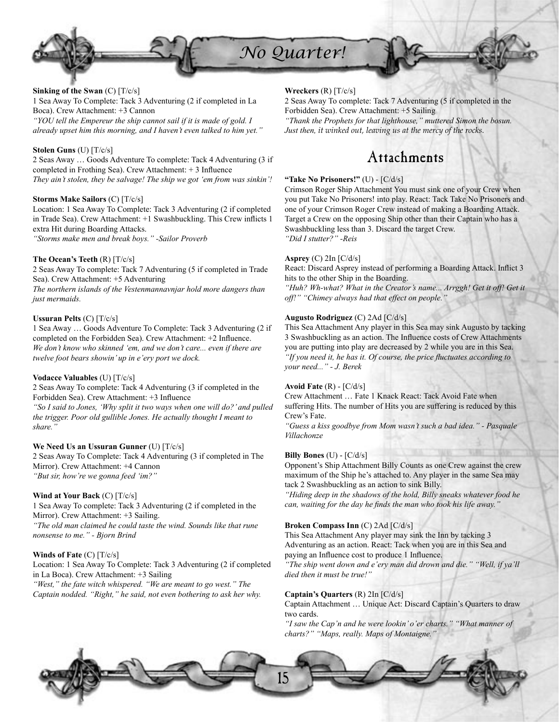

### **Sinking of the Swan** (C) [T/c/s]

1 Sea Away To Complete: Tack 3 Adventuring (2 if completed in La Boca). Crew Attachment: +3 Cannon *"YOU tell the Empereur the ship cannot sail if it is made of gold. I* 

*already upset him this morning, and I haven't even talked to him yet."*

### **Stolen Guns** (U) [T/c/s]

2 Seas Away … Goods Adventure To complete: Tack 4 Adventuring (3 if completed in Frothing Sea). Crew Attachment:  $+3$  Influence *They ain't stolen, they be salvage! The ship we got 'em from was sinkin'!*

### **Storms Make Sailors** (C) [T/c/s]

Location: 1 Sea Away To Complete: Tack 3 Adventuring (2 if completed in Trade Sea). Crew Attachment: +1 Swashbuckling. This Crew inflicts 1 extra Hit during Boarding Attacks. *"Storms make men and break boys." -Sailor Proverb*

### **The Ocean's Teeth** (R) [T/c/s]

2 Seas Away To complete: Tack 7 Adventuring (5 if completed in Trade Sea). Crew Attachment: +5 Adventuring *The northern islands of the Vestenmannavnjar hold more dangers than just mermaids.*

### **Ussuran Pelts** (C) [T/c/s]

1 Sea Away … Goods Adventure To Complete: Tack 3 Adventuring (2 if completed on the Forbidden Sea). Crew Attachment: +2 Influence. *We don't know who skinned 'em, and we don't care... even if there are twelve foot bears showin' up in e'ery port we dock.*

### **Vodacce Valuables** (U) [T/c/s]

2 Seas Away To complete: Tack 4 Adventuring (3 if completed in the Forbidden Sea). Crew Attachment: +3 Influence

*"So I said to Jones, 'Why split it two ways when one will do?' and pulled the trigger. Poor old gullible Jones. He actually thought I meant to share."*

### **We Need Us an Ussuran Gunner** (U) [T/c/s]

2 Seas Away To Complete: Tack 4 Adventuring (3 if completed in The Mirror). Crew Attachment: +4 Cannon *"But sir, how're we gonna feed 'im?"*

### **Wind at Your Back** (C) [T/c/s]

1 Sea Away To complete: Tack 3 Adventuring (2 if completed in the Mirror). Crew Attachment: +3 Sailing. *"The old man claimed he could taste the wind. Sounds like that rune nonsense to me." - Bjorn Brind*

### **Winds of Fate** (C) [T/c/s]

Location: 1 Sea Away To Complete: Tack 3 Adventuring (2 if completed in La Boca). Crew Attachment: +3 Sailing *"West," the fate witch whispered. "We are meant to go west." The Captain nodded. "Right," he said, not even bothering to ask her why.*

### **Wreckers** (R) [T/c/s]

2 Seas Away To complete: Tack 7 Adventuring (5 if completed in the Forbidden Sea). Crew Attachment: +5 Sailing

*"Thank the Prophets for that lighthouse," muttered Simon the bosun. Just then, it winked out, leaving us at the mercy of the rocks.*

# Attachments

### **"Take No Prisoners!"** (U) - [C/d/s]

Crimson Roger Ship Attachment You must sink one of your Crew when you put Take No Prisoners! into play. React: Tack Take No Prisoners and one of your Crimson Roger Crew instead of making a Boarding Attack. Target a Crew on the opposing Ship other than their Captain who has a Swashbuckling less than 3. Discard the target Crew. *"Did I stutter?" -Reis*

### **Asprey** (C) 2In [C/d/s]

React: Discard Asprey instead of performing a Boarding Attack. Inflict 3 hits to the other Ship in the Boarding.

"Huh? Wh-what? What in the Creator's name... Arrggh! Get it off! Get it *off!" "Chimey always had that effect on people."*

### **Augusto Rodriguez** (C) 2Ad [C/d/s]

This Sea Attachment Any player in this Sea may sink Augusto by tacking 3 Swashbuckling as an action. The Influence costs of Crew Attachments you are putting into play are decreased by 2 while you are in this Sea. *"If you need it, he has it. Of course, the price fluctuates according to your need..." - J. Berek*

### **Avoid Fate** (R) - [C/d/s]

Crew Attachment … Fate 1 Knack React: Tack Avoid Fate when suffering Hits. The number of Hits you are suffering is reduced by this Crew's Fate.

*"Guess a kiss goodbye from Mom wasn't such a bad idea." - Pasquale Villachonze*

### **Billy Bones** (U) - [C/d/s]

Opponent's Ship Attachment Billy Counts as one Crew against the crew maximum of the Ship he's attached to. Any player in the same Sea may tack 2 Swashbuckling as an action to sink Billy.

*"Hiding deep in the shadows of the hold, Billy sneaks whatever food he*  can, waiting for the day he finds the man who took his life away.'

### **Broken Compass Inn** (C) 2Ad [C/d/s]

This Sea Attachment Any player may sink the Inn by tacking 3 Adventuring as an action. React: Tack when you are in this Sea and paying an Influence cost to produce 1 Influence.

*"The ship went down and e'ery man did drown and die." "Well, if ya'll died then it must be true!"*

### **Captain's Quarters** (R) 2In [C/d/s]

Captain Attachment … Unique Act: Discard Captain's Quarters to draw two cards.

*"I saw the Cap'n and he were lookin' o'er charts." "What manner of charts?" "Maps, really. Maps of Montaigne."*

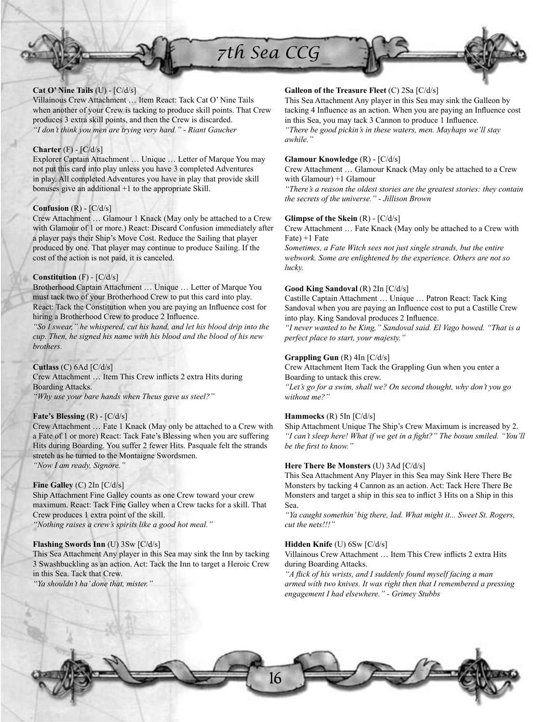

Villainous Crew Attachment … Item React: Tack Cat O' Nine Tails when another of your Crew is tacking to produce skill points. That Crew produces 3 extra skill points, and then the Crew is discarded. *"I don't think you men are trying very hard." - Riant Gaucher*

# **Charter** (F) - [C/d/s]

Explorer Captain Attachment … Unique … Letter of Marque You may not put this card into play unless you have 3 completed Adventures in play. All completed Adventures you have in play that provide skill bonuses give an additional +1 to the appropriate Skill.

# **Confusion** (R) - [C/d/s]

Crew Attachment … Glamour 1 Knack (May only be attached to a Crew with Glamour of 1 or more.) React: Discard Confusion immediately after a player pays their Ship's Move Cost. Reduce the Sailing that player produced by one. That player may continue to produce Sailing. If the cost of the action is not paid, it is canceled.

# **Constitution** (F) - [C/d/s]

Brotherhood Captain Attachment … Unique … Letter of Marque You must tack two of your Brotherhood Crew to put this card into play. React: Tack the Constitution when you are paying an Influence cost for hiring a Brotherhood Crew to produce 2 Influence.

*"So I swear," he whispered, cut his hand, and let his blood drip into the cup. Then, he signed his name with his blood and the blood of his new brothers.*

### **Cutlass** (C) 6Ad [C/d/s]

Crew Attachment ... Item This Crew inflicts 2 extra Hits during Boarding Attacks. *"Why use your bare hands when Theus gave us steel?"*

# **Fate's Blessing** (R) - [C/d/s]

Crew Attachment … Fate 1 Knack (May only be attached to a Crew with a Fate of 1 or more) React: Tack Fate's Blessing when you are suffering Hits during Boarding. You suffer 2 fewer Hits. Pasquale felt the strands stretch as he turned to the Montaigne Swordsmen. *"Now I am ready, Signore."*

# **Fine Galley** (C) 2In [C/d/s]

Ship Attachment Fine Galley counts as one Crew toward your crew maximum. React: Tack Fine Galley when a Crew tacks for a skill. That Crew produces 1 extra point of the skill. *"Nothing raises a crew's spirits like a good hot meal."*

### **Flashing Swords Inn** (U) 3Sw [C/d/s]

This Sea Attachment Any player in this Sea may sink the Inn by tacking 3 Swashbuckling as an action. Act: Tack the Inn to target a Heroic Crew in this Sea. Tack that Crew.

*"Ya shouldn't ha' done that, mister."*

# **Galleon of the Treasure Fleet** (C) 2Sa [C/d/s]

This Sea Attachment Any player in this Sea may sink the Galleon by tacking 4 Influence as an action. When you are paying an Influence cost in this Sea, you may tack 3 Cannon to produce 1 Influence. *"There be good pickin's in these waters, men. Mayhaps we'll stay awhile."*

# **Glamour Knowledge** (R) - [C/d/s]

Crew Attachment … Glamour Knack (May only be attached to a Crew with Glamour) +1 Glamour

*"There's a reason the oldest stories are the greatest stories: they contain the secrets of the universe." - Jillison Brown*

### **Glimpse of the Skein** (R) - [C/d/s]

Crew Attachment … Fate Knack (May only be attached to a Crew with Fate) +1 Fate

*Sometimes, a Fate Witch sees not just single strands, but the entire webwork. Some are enlightened by the experience. Others are not so lucky.*

# **Good King Sandoval** (R) 2In [C/d/s]

Castille Captain Attachment … Unique … Patron React: Tack King Sandoval when you are paying an Influence cost to put a Castille Crew into play. King Sandoval produces 2 Influence.

*"I never wanted to be King," Sandoval said. El Vago bowed. "That is a perfect place to start, your majesty."*

# **Grappling Gun** (R) 4In [C/d/s]

Crew Attachment Item Tack the Grappling Gun when you enter a Boarding to untack this crew.

*"Let's go for a swim, shall we? On second thought, why don't you go without me?"*

# **Hammocks** (R) 5In [C/d/s]

Ship Attachment Unique The Ship's Crew Maximum is increased by 2. *"I can't sleep here! What if we get in a fight?" The bosun smiled. "You'll* be the first to know."

# **Here There Be Monsters** (U) 3Ad [C/d/s]

This Sea Attachment Any Player in this Sea may Sink Here There Be Monsters by tacking 4 Cannon as an action. Act: Tack Here There Be Monsters and target a ship in this sea to inflict 3 Hits on a Ship in this Sea.

*"Ya caught somethin' big there, lad. What might it... Sweet St. Rogers, cut the nets!!!"*

### **Hidden Knife** (U) 6Sw [C/d/s]

Villainous Crew Attachment ... Item This Crew inflicts 2 extra Hits during Boarding Attacks.

"A flick of his wrists, and I suddenly found myself facing a man *armed with two knives. It was right then that I remembered a pressing engagement I had elsewhere." - Grimey Stubbs*

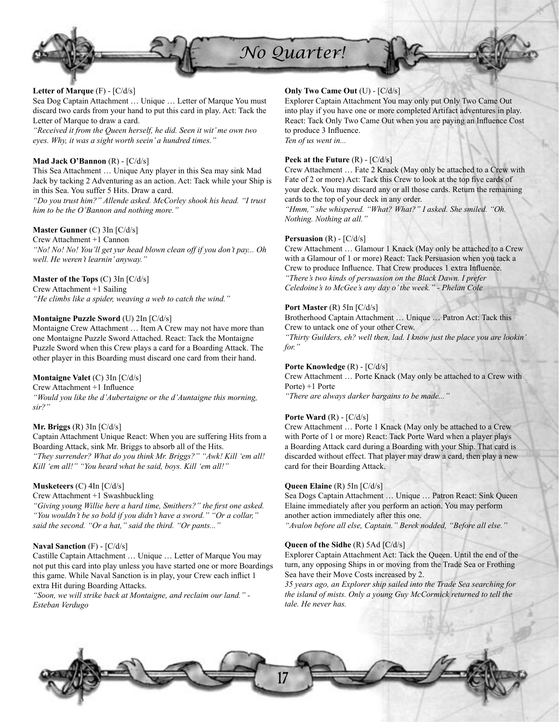

*No Quarter!*

# **Letter of Marque** (F) - [C/d/s]

Sea Dog Captain Attachment … Unique … Letter of Marque You must discard two cards from your hand to put this card in play. Act: Tack the Letter of Marque to draw a card.

*"Received it from the Queen herself, he did. Seen it wit' me own two eyes. Why, it was a sight worth seein' a hundred times."*

# **Mad Jack O'Bannon** (R) - [C/d/s]

This Sea Attachment … Unique Any player in this Sea may sink Mad Jack by tacking 2 Adventuring as an action. Act: Tack while your Ship is in this Sea. You suffer 5 Hits. Draw a card.

*"Do you trust him?" Allende asked. McCorley shook his head. "I trust him to be the O'Bannon and nothing more."*

# **Master Gunner** (C) 3In [C/d/s]

Crew Attachment +1 Cannon *"No! No! No! You'll get yur head blown clean off if you don't pay... Oh well. He weren't learnin' anyway."*

### **Master of the Tops** (C) 3In [C/d/s]

Crew Attachment +1 Sailing *"He climbs like a spider, weaving a web to catch the wind."*

### **Montaigne Puzzle Sword** (U) 2In [C/d/s]

Montaigne Crew Attachment … Item A Crew may not have more than one Montaigne Puzzle Sword Attached. React: Tack the Montaigne Puzzle Sword when this Crew plays a card for a Boarding Attack. The other player in this Boarding must discard one card from their hand.

# **Montaigne Valet** (C) 3In [C/d/s]

Crew Attachment +1 Influence

*"Would you like the d'Aubertaigne or the d'Auntaigne this morning, sir?"*

### **Mr. Briggs** (R) 3In [C/d/s]

Captain Attachment Unique React: When you are suffering Hits from a Boarding Attack, sink Mr. Briggs to absorb all of the Hits. *"They surrender? What do you think Mr. Briggs?" "Awk! Kill 'em all! Kill 'em all!" "You heard what he said, boys. Kill 'em all!"*

# **Musketeers** (C) 4In [C/d/s]

Crew Attachment +1 Swashbuckling

"Giving young Willie here a hard time, Smithers?" the first one asked. *"You wouldn't be so bold if you didn't have a sword." "Or a collar," said the second. "Or a hat," said the third. "Or pants..."*

# **Naval Sanction** (F) - [C/d/s]

Castille Captain Attachment … Unique … Letter of Marque You may not put this card into play unless you have started one or more Boardings this game. While Naval Sanction is in play, your Crew each inflict 1 extra Hit during Boarding Attacks.

*"Soon, we will strike back at Montaigne, and reclaim our land." - Esteban Verdugo*

# **Only Two Came Out** (U) - [C/d/s]

Explorer Captain Attachment You may only put Only Two Came Out into play if you have one or more completed Artifact adventures in play. React: Tack Only Two Came Out when you are paying an Influence Cost to produce 3 Influence. *Ten of us went in...*

### **Peek at the Future** (R) - [C/d/s]

Crew Attachment … Fate 2 Knack (May only be attached to a Crew with Fate of 2 or more) Act: Tack this Crew to look at the top five cards of your deck. You may discard any or all those cards. Return the remaining cards to the top of your deck in any order.

*"Hmm," she whispered. "What? What?" I asked. She smiled. "Oh. Nothing. Nothing at all."*

### **Persuasion** (R) - [C/d/s]

Crew Attachment … Glamour 1 Knack (May only be attached to a Crew with a Glamour of 1 or more) React: Tack Persuasion when you tack a Crew to produce Influence. That Crew produces 1 extra Influence. *"There's two kinds of persuasion on the Black Dawn. I prefer Celedoine's to McGee's any day o' the week." - Phelan Cole*

### **Port Master (R) 5In [C/d/s]**

Brotherhood Captain Attachment … Unique … Patron Act: Tack this Crew to untack one of your other Crew.

*"Thirty Guilders, eh? well then, lad. I know just the place you are lookin' for."*

### **Porte Knowledge** (R) - [C/d/s]

Crew Attachment … Porte Knack (May only be attached to a Crew with Porte) +1 Porte

*"There are always darker bargains to be made..."*

# **Porte Ward** (R) - [C/d/s]

Crew Attachment … Porte 1 Knack (May only be attached to a Crew with Porte of 1 or more) React: Tack Porte Ward when a player plays a Boarding Attack card during a Boarding with your Ship. That card is discarded without effect. That player may draw a card, then play a new card for their Boarding Attack.

### **Queen Elaine** (R) 5In [C/d/s]

Sea Dogs Captain Attachment … Unique … Patron React: Sink Queen Elaine immediately after you perform an action. You may perform another action immediately after this one.

*"Avalon before all else, Captain." Berek nodded, "Before all else."*

### **Queen of the Sidhe** (R) 5Ad [C/d/s]

Explorer Captain Attachment Act: Tack the Queen. Until the end of the turn, any opposing Ships in or moving from the Trade Sea or Frothing Sea have their Move Costs increased by 2.

*35 years ago, an Explorer ship sailed into the Trade Sea searching for the island of mists. Only a young Guy McCormick returned to tell the tale. He never has.*

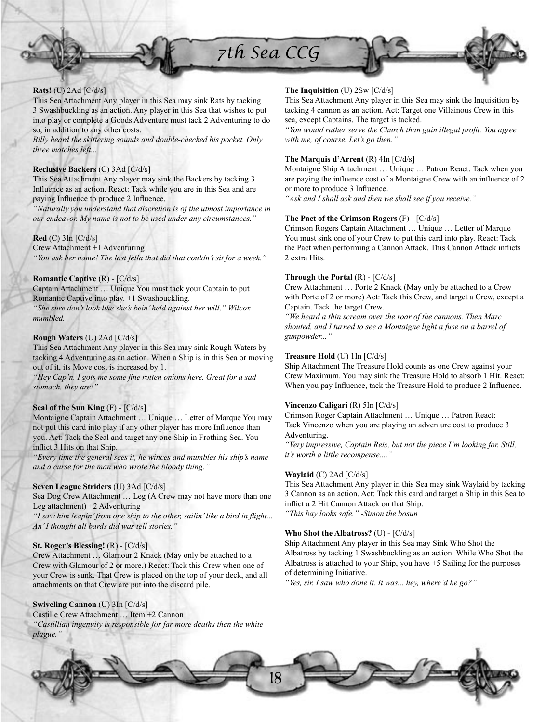



# **Rats!** (U) 2Ad [C/d/s]

This Sea Attachment Any player in this Sea may sink Rats by tacking 3 Swashbuckling as an action. Any player in this Sea that wishes to put into play or complete a Goods Adventure must tack 2 Adventuring to do so, in addition to any other costs.

*Billy heard the skittering sounds and double-checked his pocket. Only three matches left...*

# **Reclusive Backers** (C) 3Ad [C/d/s]

This Sea Attachment Any player may sink the Backers by tacking 3 Influence as an action. React: Tack while you are in this Sea and are paying Influence to produce 2 Influence.

*"Naturally,you understand that discretion is of the utmost importance in our endeavor. My name is not to be used under any circumstances."*

# **Red** (C) 3In [C/d/s]

Crew Attachment +1 Adventuring *"You ask her name! The last fella that did that couldn't sit for a week."*

# **Romantic Captive** (R) - [C/d/s]

Captain Attachment … Unique You must tack your Captain to put Romantic Captive into play. +1 Swashbuckling. *"She sure don't look like she's bein' held against her will," Wilcox mumbled.*

# **Rough Waters** (U) 2Ad [C/d/s]

This Sea Attachment Any player in this Sea may sink Rough Waters by tacking 4 Adventuring as an action. When a Ship is in this Sea or moving out of it, its Move cost is increased by 1.

*"Hey Cap'n. I gots me some fine rotten onions here. Great for a sad stomach, they are!"*

# **Seal of the Sun King** (F) - [C/d/s]

Montaigne Captain Attachment … Unique … Letter of Marque You may not put this card into play if any other player has more Influence than you. Act: Tack the Seal and target any one Ship in Frothing Sea. You inflict 3 Hits on that Ship.

*"Every time the general sees it, he winces and mumbles his ship's name and a curse for the man who wrote the bloody thing."*

# **Seven League Striders** (U) 3Ad [C/d/s]

Sea Dog Crew Attachment … Leg (A Crew may not have more than one Leg attachment) +2 Adventuring

"I saw him leapin' from one ship to the other, sailin' like a bird in flight... *An' I thought all bards did was tell stories."*

# **St. Roger's Blessing!** (R) - [C/d/s]

Crew Attachment … Glamour 2 Knack (May only be attached to a Crew with Glamour of 2 or more.) React: Tack this Crew when one of your Crew is sunk. That Crew is placed on the top of your deck, and all attachments on that Crew are put into the discard pile.

# **Swiveling Cannon** (U) 3In [C/d/s]

Castille Crew Attachment … Item +2 Cannon *"Castillian ingenuity is responsible for far more deaths then the white plague."*

# **The Inquisition** (U) 2Sw [C/d/s]

This Sea Attachment Any player in this Sea may sink the Inquisition by tacking 4 cannon as an action. Act: Target one Villainous Crew in this sea, except Captains. The target is tacked.

"You would rather serve the Church than gain illegal profit. You agree *with me, of course. Let's go then."*

# **The Marquis d'Arrent** (R) 4In [C/d/s]

Montaigne Ship Attachment … Unique … Patron React: Tack when you are paying the influence cost of a Montaigne Crew with an influence of 2 or more to produce 3 Influence.

*"Ask and I shall ask and then we shall see if you receive."*

# **The Pact of the Crimson Rogers** (F) - [C/d/s]

Crimson Rogers Captain Attachment … Unique … Letter of Marque You must sink one of your Crew to put this card into play. React: Tack the Pact when performing a Cannon Attack. This Cannon Attack inflicts 2 extra Hits.

# **Through the Portal** (R) - [C/d/s]

Crew Attachment … Porte 2 Knack (May only be attached to a Crew with Porte of 2 or more) Act: Tack this Crew, and target a Crew, except a Captain. Tack the target Crew.

*"We heard a thin scream over the roar of the cannons. Then Marc shouted, and I turned to see a Montaigne light a fuse on a barrel of gunpowder..."*

# **Treasure Hold** (U) 1In [C/d/s]

Ship Attachment The Treasure Hold counts as one Crew against your Crew Maximum. You may sink the Treasure Hold to absorb 1 Hit. React: When you pay Influence, tack the Treasure Hold to produce 2 Influence.

# **Vincenzo Caligari** (R) 5In [C/d/s]

Crimson Roger Captain Attachment … Unique … Patron React: Tack Vincenzo when you are playing an adventure cost to produce 3 Adventuring.

*"Very impressive, Captain Reis, but not the piece I'm looking for. Still, it's worth a little recompense...."*

### **Waylaid** (C) 2Ad [C/d/s]

This Sea Attachment Any player in this Sea may sink Waylaid by tacking 3 Cannon as an action. Act: Tack this card and target a Ship in this Sea to inflict a 2 Hit Cannon Attack on that Ship. *"This bay looks safe." -Simon the bosun*

# **Who Shot the Albatross?** (U) - [C/d/s]

Ship Attachment Any player in this Sea may Sink Who Shot the Albatross by tacking 1 Swashbuckling as an action. While Who Shot the Albatross is attached to your Ship, you have +5 Sailing for the purposes of determining Initiative.

*"Yes, sir. I saw who done it. It was... hey, where'd he go?"*

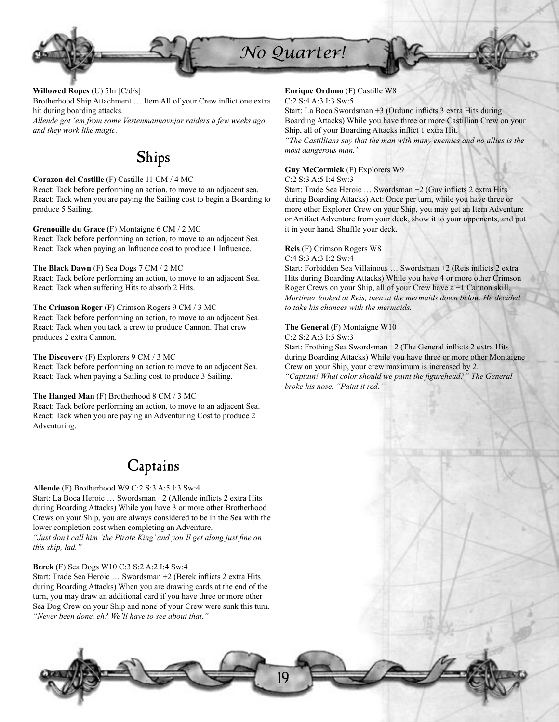

**Willowed Ropes** (U) 5In [C/d/s]

Brotherhood Ship Attachment ... Item All of your Crew inflict one extra hit during boarding attacks.

*Allende got 'em from some Vestenmannavnjar raiders a few weeks ago and they work like magic.* 

# Ships

**Corazon del Castille** (F) Castille 11 CM / 4 MC React: Tack before performing an action, to move to an adjacent sea. React: Tack when you are paying the Sailing cost to begin a Boarding to produce 5 Sailing.

**Grenouille du Grace** (F) Montaigne 6 CM / 2 MC React: Tack before performing an action, to move to an adjacent Sea. React: Tack when paying an Influence cost to produce 1 Influence.

**The Black Dawn** (F) Sea Dogs 7 CM / 2 MC

React: Tack before performing an action, to move to an adjacent Sea. React: Tack when suffering Hits to absorb 2 Hits.

# **The Crimson Roger** (F) Crimson Rogers 9 CM / 3 MC

React: Tack before performing an action, to move to an adjacent Sea. React: Tack when you tack a crew to produce Cannon. That crew produces 2 extra Cannon.

# **The Discovery** (F) Explorers 9 CM / 3 MC

React: Tack before performing an action to move to an adjacent Sea. React: Tack when paying a Sailing cost to produce 3 Sailing.

# **The Hanged Man** (F) Brotherhood 8 CM / 3 MC

React: Tack before performing an action, to move to an adjacent Sea. React: Tack when you are paying an Adventuring Cost to produce 2 Adventuring.

# **Captains**

**Allende** (F) Brotherhood W9 C:2 S:3 A:5 I:3 Sw:4 Start: La Boca Heroic ... Swordsman +2 (Allende inflicts 2 extra Hits during Boarding Attacks) While you have 3 or more other Brotherhood Crews on your Ship, you are always considered to be in the Sea with the lower completion cost when completing an Adventure. "Just don't call him 'the Pirate King' and you'll get along just fine on *this ship, lad."*

# **Berek** (F) Sea Dogs W10 C:3 S:2 A:2 I:4 Sw:4

Start: Trade Sea Heroic ... Swordsman +2 (Berek inflicts 2 extra Hits during Boarding Attacks) When you are drawing cards at the end of the turn, you may draw an additional card if you have three or more other Sea Dog Crew on your Ship and none of your Crew were sunk this turn. *"Never been done, eh? We'll have to see about that."*

# **Enrique Orduno** (F) Castille W8

# C:2 S:4 A:3 I:3 Sw:5

Start: La Boca Swordsman  $+3$  (Orduno inflicts 3 extra Hits during Boarding Attacks) While you have three or more Castillian Crew on your Ship, all of your Boarding Attacks inflict 1 extra Hit.

*"The Castillians say that the man with many enemies and no allies is the most dangerous man."*

# **Guy McCormick** (F) Explorers W9

C:2 S:3 A:5 I:4 Sw:3

Start: Trade Sea Heroic ... Swordsman +2 (Guy inflicts 2 extra Hits during Boarding Attacks) Act: Once per turn, while you have three or more other Explorer Crew on your Ship, you may get an Item Adventure or Artifact Adventure from your deck, show it to your opponents, and put it in your hand. Shuffle your deck.

# **Reis** (F) Crimson Rogers W8

C:4 S:3 A:3 I:2 Sw:4

Start: Forbidden Sea Villainous ... Swordsman +2 (Reis inflicts 2 extra Hits during Boarding Attacks) While you have 4 or more other Crimson Roger Crews on your Ship, all of your Crew have a +1 Cannon skill. *Mortimer looked at Reis, then at the mermaids down below. He decided to take his chances with the mermaids.*

# **The General** (F) Montaigne W10

C:2 S:2 A:3 I:5 Sw:3

19

Start: Frothing Sea Swordsman +2 (The General inflicts 2 extra Hits during Boarding Attacks) While you have three or more other Montaigne Crew on your Ship, your crew maximum is increased by 2. "Captain! What color should we paint the figurehead?" The General *broke his nose. "Paint it red."*